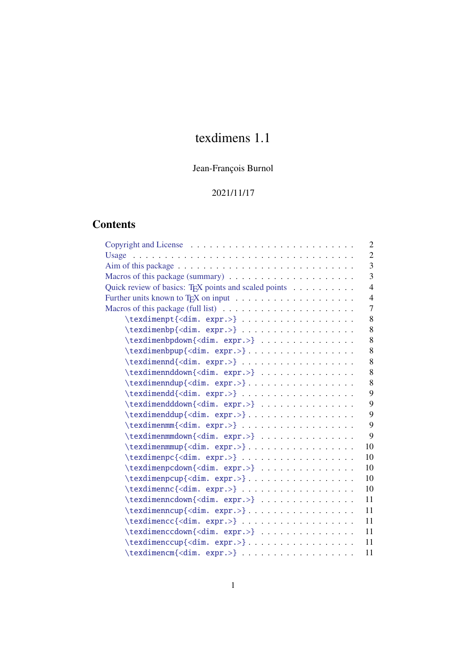# texdimens 1.1

## Jean-François Burnol

## 2021/11/17

## **Contents**

| Copyright and License $\ldots \ldots \ldots \ldots \ldots \ldots \ldots \ldots \ldots$<br>$\overline{2}$                        |  |
|---------------------------------------------------------------------------------------------------------------------------------|--|
| $\overline{2}$<br>Usage $\ldots \ldots \ldots \ldots \ldots \ldots \ldots \ldots \ldots \ldots \ldots \ldots \ldots$            |  |
| 3                                                                                                                               |  |
| 3<br>Macros of this package (summary) $\ldots \ldots \ldots \ldots \ldots \ldots \ldots$                                        |  |
| Quick review of basics: TEX points and scaled points<br>$\overline{4}$                                                          |  |
| Further units known to T <sub>E</sub> X on input $\ldots \ldots \ldots \ldots \ldots \ldots \ldots$<br>$\overline{\mathcal{A}}$ |  |
| $\overline{7}$<br>Macros of this package (full list) $\ldots \ldots \ldots \ldots \ldots \ldots \ldots$                         |  |
| \texdimenpt{ <dim. expr.="">}<br/>8</dim.>                                                                                      |  |
| 8<br>\texdimenbp{ <dim. expr.="">}</dim.>                                                                                       |  |
| 8<br>\texdimenbpdown{ <dim. expr.="">}</dim.>                                                                                   |  |
| 8                                                                                                                               |  |
| 8<br>\texdimennd{ <dim. expr.="">}</dim.>                                                                                       |  |
| 8<br>\texdimennddown{ <dim. expr.="">}</dim.>                                                                                   |  |
| 8<br>\texdimenndup{ <dim. expr.="">}</dim.>                                                                                     |  |
| 9<br>$\text{d}(\dim\exp.>) \ldots \ldots \ldots$                                                                                |  |
| 9<br>\texdimendddown{ <dim. expr.="">}</dim.>                                                                                   |  |
| 9<br>\texdimenddup{ <dim. expr.="">}</dim.>                                                                                     |  |
| 9<br>\texdimenmm{ <dim. expr.="">}</dim.>                                                                                       |  |
| 9<br>\texdimenmmdown{ <dim. expr.="">}</dim.>                                                                                   |  |
| 10<br>\texdimenmmup{ <dim. expr.="">}</dim.>                                                                                    |  |
| \texdimenpc{ <dim. expr.="">}<br/>10</dim.>                                                                                     |  |
| \texdimenpcdown{ <dim. expr.="">}<br/>10</dim.>                                                                                 |  |
| \texdimenpcup{ <dim. expr.="">}<br/>10</dim.>                                                                                   |  |
| \texdimennc{ <dim. expr.="">}<br/>10</dim.>                                                                                     |  |
| \texdimenncdown{ <dim. expr.="">}<br/>11</dim.>                                                                                 |  |
| \texdimenncup{ <dim. expr.="">}<br/>11</dim.>                                                                                   |  |
| \texdimencc{ <dim. expr.="">}<br/>11</dim.>                                                                                     |  |
| \texdimenccdown{ <dim. expr.="">} <br/>11</dim.>                                                                                |  |
| \texdimenccup{ <dim. expr.="">}<br/>11</dim.>                                                                                   |  |
| \texdimencm{ <dim. expr.="">}<br/>11</dim.>                                                                                     |  |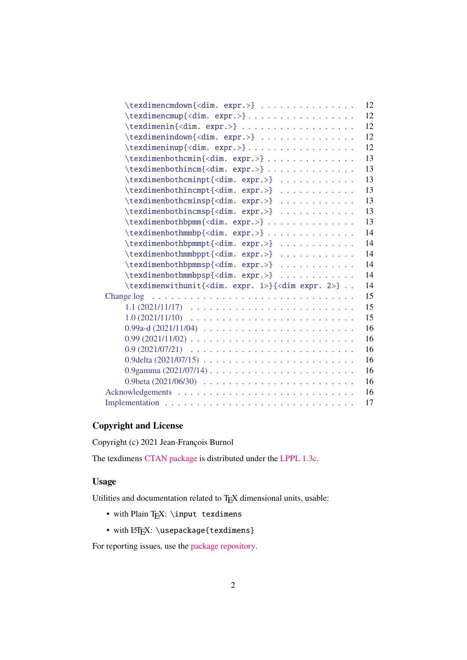| $\texttt{\texttt{dimm}}\texttt{$                                           | 12 |
|----------------------------------------------------------------------------|----|
| \texdimencmup{ <dim. expr.="">}</dim.>                                     | 12 |
| \texdimenin{ <dim. expr.="">}</dim.>                                       | 12 |
| \texdimenindown{ <dim. expr.="">}</dim.>                                   | 12 |
|                                                                            | 12 |
| \texdimenbothcmin{ <dim. expr.="">}</dim.>                                 | 13 |
| \texdimenbothincm{ <dim. expr.="">}</dim.>                                 | 13 |
| \texdimenbothcminpt{ <dim. expr.="">}</dim.>                               | 13 |
| \texdimenbothincmpt{ <dim. expr.="">}</dim.>                               | 13 |
| \texdimenbothcminsp{ <dim. expr.="">}</dim.>                               | 13 |
| \texdimenbothincmsp{ <dim. expr.="">}</dim.>                               | 13 |
| \texdimenbothbpmm{ <dim. expr.="">}</dim.>                                 | 13 |
| \texdimenbothmmbp{ <dim. expr.="">}</dim.>                                 | 14 |
| \texdimenbothbpmmpt{ <dim. expr.="">} </dim.>                              | 14 |
| \texdimenbothmmbppt{ <dim. expr.="">} </dim.>                              | 14 |
| \texdimenbothbpmmsp{ <dim. expr.="">}</dim.>                               | 14 |
| \texdimenbothmmbpsp{ <dim. expr.="">} </dim.>                              | 14 |
| \texdimenwithunit{ <dim. 1="" expr.="">}{<dim 2="" expr.="">}</dim></dim.> | 14 |
|                                                                            | 15 |
|                                                                            | 15 |
|                                                                            | 15 |
|                                                                            | 16 |
|                                                                            | 16 |
|                                                                            | 16 |
|                                                                            | 16 |
|                                                                            | 16 |
|                                                                            | 16 |
|                                                                            | 16 |
|                                                                            | 17 |
|                                                                            |    |

### **Co[pyrig](#page-15-6)[ht](#page-15-5)[and](#page-15-5)[License](#page-15-5)**

Co[pyright \(c\) 2021](#page-16-0) Jean-François Burnol

<span id="page-1-0"></span>The texdimens CTAN package is distributed under the LPPL 1.3c.

### **Usage**

Utilities and d[ocumentation rel](https://ctan.org/pkg/texdimens)ated to TEX dimensiona[l units, usab](https://ctan.org/license/lppl1.3c)le:

- <span id="page-1-1"></span>• with Plain TEX: \input texdimens
- with LATEX: \usepackage{texdimens}

For reporting issues, use the package repository.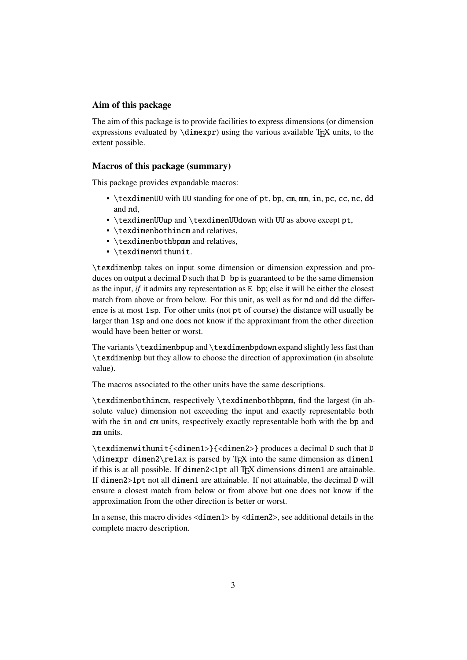#### <span id="page-2-0"></span>**Aim of this package**

The aim of this package is to provide facilities to express dimensions (or dimension expressions evaluated by  $\dim \exp r$ ) using the various available T<sub>E</sub>X units, to the extent possible.

#### <span id="page-2-1"></span>**Macros of this package (summary)**

This package provides expandable macros:

- \texdimenUU with UU standing for one of pt, bp, cm, mm, in, pc, cc, nc, dd and nd,
- \texdimenUUup and \texdimenUUdown with UU as above except pt,
- \texdimenbothincm and relatives,
- \texdimenbothbpmm and relatives,
- \texdimenwithunit.

\texdimenbp takes on input some dimension or dimension expression and produces on output a decimal D such that D bp is guaranteed to be the same dimension as the input, *if* it admits any representation as  $E$  bp; else it will be either the closest match from above or from below. For this unit, as well as for nd and dd the difference is at most 1sp. For other units (not pt of course) the distance will usually be larger than 1sp and one does not know if the approximant from the other direction would have been better or worst.

The variants \texdimenbpup and \texdimenbpdown expand slightly less fast than \texdimenbp but they allow to choose the direction of approximation (in absolute value).

The macros associated to the other units have the same descriptions.

\texdimenbothincm, respectively \texdimenbothbpmm, find the largest (in absolute value) dimension not exceeding the input and exactly representable both with the in and cm units, respectively exactly representable both with the bp and mm units.

\texdimenwithunit{<dimen1>}{<dimen2>} produces a decimal D such that D  $\dim\exp r \dimen2\relax$  is parsed by T<sub>EX</sub> into the same dimension as dimen1 if this is at all possible. If dimen2<1pt all T<sub>E</sub>X dimensions dimen1 are attainable. If dimen2>1pt not all dimen1 are attainable. If not attainable, the decimal D will ensure a closest match from below or from above but one does not know if the approximation from the other direction is better or worst.

In a sense, this macro divides <dimen1> by <dimen2>, see additional details in the complete macro description.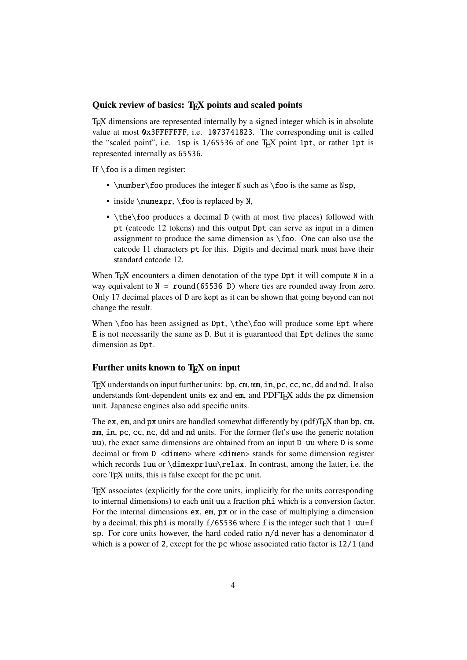#### <span id="page-3-0"></span>Quick review of basics: T<sub>E</sub>X points and scaled points

TEX dimensions are represented internally by a signed integer which is in absolute value at most 0x3FFFFFFF, i.e. 1073741823. The corresponding unit is called the "scaled point", i.e. 1sp is 1/65536 of one TEX point 1pt, or rather 1pt is represented internally as 65536.

If  $\setminus$  foo is a dimen register:

- \number\foo produces the integer N such as  $\text{60}$  is the same as Nsp,
- inside  $\text{pr}, \text{foo}$  is replaced by N,
- \the\foo produces a decimal D (with at most five places) followed with pt (catcode 12 tokens) and this output Dpt can serve as input in a dimen assignment to produce the same dimension as \foo. One can also use the catcode 11 characters pt for this. Digits and decimal mark must have their standard catcode 12.

When T<sub>E</sub>X encounters a dimen denotation of the type Dpt it will compute N in a way equivalent to  $N = round(65536)$  b) where ties are rounded away from zero. Only 17 decimal places of D are kept as it can be shown that going beyond can not change the result.

When  $\text{K}$  foo has been assigned as Dpt,  $\theta$  the foo will produce some Ept where E is not necessarily the same as D. But it is guaranteed that Ept defines the same dimension as Dpt.

#### <span id="page-3-1"></span>Further units known to T<sub>E</sub>X on input

TEX understands on input further units: bp, cm, mm, in, pc, cc, nc, dd and nd. It also understands font-dependent units ex and em, and PDFT<sub>E</sub>X adds the px dimension unit. Japanese engines also add specific units.

The ex, em, and px units are handled somewhat differently by  $(pdf)T<sub>F</sub>X$  than bp, cm, mm, in, pc, cc, nc, dd and nd units. For the former (let's use the generic notation uu), the exact same dimensions are obtained from an input D uu where D is some decimal or from D <dimen> where <dimen> stands for some dimension register which records 1uu or \dimexpr1uu\relax. In contrast, among the latter, i.e. the core T<sub>E</sub>X units, this is false except for the pc unit.

TEX associates (explicitly for the core units, implicitly for the units corresponding to internal dimensions) to each unit uu a fraction phi which is a conversion factor. For the internal dimensions ex, em, px or in the case of multiplying a dimension by a decimal, this phi is morally  $f/65536$  where f is the integer such that 1 uu=f sp. For core units however, the hard-coded ratio n/d never has a denominator d which is a power of 2, except for the pc whose associated ratio factor is 12/1 (and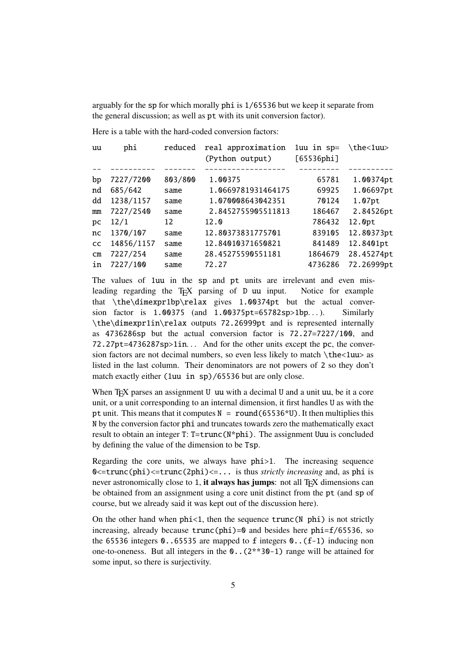arguably for the sp for which morally phi is 1/65536 but we keep it separate from the general discussion; as well as pt with its unit conversion factor).

Here is a table with the hard-coded conversion factors:

| uu            | phi        | reduced | real approximation<br>(Python output) | $1uu$ in $sp=$<br>[65536phi] | \the<1uu>  |
|---------------|------------|---------|---------------------------------------|------------------------------|------------|
|               |            |         |                                       |                              |            |
| bp            | 7227/7200  | 803/800 | 1.00375                               | 65781                        | 1.00374pt  |
| nd            | 685/642    | same    | 1.0669781931464175                    | 69925                        | 1.06697pt  |
| dd            | 1238/1157  | same    | 1.070008643042351                     | 70124                        | 1.07pt     |
| mm            | 7227/2540  | same    | 2.8452755905511813                    | 186467                       | 2.84526pt  |
| pc            | 12/1       | 12      | 12.0                                  | 786432                       | 12.0pt     |
| nc            | 1370/107   | same    | 12.80373831775701                     | 839105                       | 12.80373pt |
| <b>CC</b>     | 14856/1157 | same    | 12.84010371650821                     | 841489                       | 12.8401pt  |
| $\mathsf{cm}$ | 7227/254   | same    | 28.45275590551181                     | 1864679                      | 28.45274pt |
| in            | 7227/100   | same    | 72.27                                 | 4736286                      | 72.26999pt |

The values of 1uu in the sp and pt units are irrelevant and even misleading regarding the T<sub>E</sub>X parsing of D uu input. Notice for example that \the\dimexpr1bp\relax gives 1.00374pt but the actual conversion factor is  $1.00375$  (and  $1.00375pt=65782sp>1bp...$ ). Similarly \the\dimexpr1in\relax outputs 72.26999pt and is represented internally as 4736286sp but the actual conversion factor is 72.27=7227/100, and 72.27pt=4736287sp>1in. . . And for the other units except the pc, the conversion factors are not decimal numbers, so even less likely to match \the<1uu> as listed in the last column. Their denominators are not powers of 2 so they don't match exactly either (1uu in sp)/65536 but are only close.

When TEX parses an assignment U uu with a decimal U and a unit uu, be it a core unit, or a unit corresponding to an internal dimension, it first handles U as with the pt unit. This means that it computes  $N = round(65536*U)$ . It then multiplies this N by the conversion factor phi and truncates towards zero the mathematically exact result to obtain an integer T: T=trunc(N\*phi). The assignment Uuu is concluded by defining the value of the dimension to be Tsp.

Regarding the core units, we always have phi>1. The increasing sequence 0<=trunc(phi)<=trunc(2phi)<=... is thus *strictly increasing* and, as phi is never astronomically close to 1, it always has jumps: not all T<sub>E</sub>X dimensions can be obtained from an assignment using a core unit distinct from the pt (and sp of course, but we already said it was kept out of the discussion here).

On the other hand when  $phi < 1$ , then the sequence  $trunc(N phi)$  is not strictly increasing, already because  $trunc(\phi hi)=0$  and besides here  $phi=f/65536$ , so the 65536 integers  $\theta$ . 65535 are mapped to f integers  $\theta$ . (f-1) inducing non one-to-oneness. But all integers in the 0..(2\*\*30-1) range will be attained for some input, so there is surjectivity.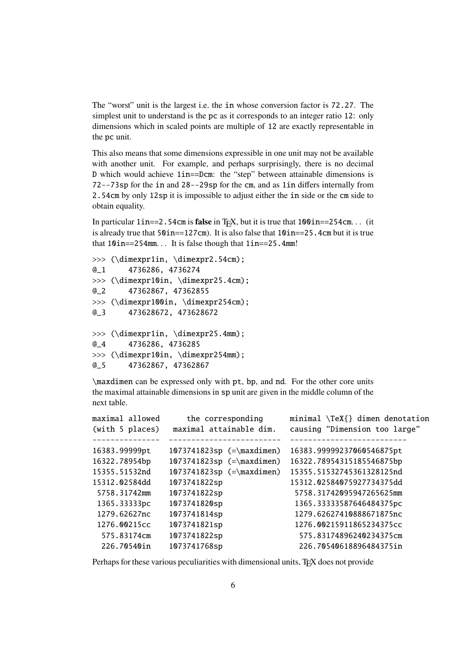The "worst" unit is the largest i.e. the in whose conversion factor is 72.27. The simplest unit to understand is the pc as it corresponds to an integer ratio 12: only dimensions which in scaled points are multiple of 12 are exactly representable in the pc unit.

This also means that some dimensions expressible in one unit may not be available with another unit. For example, and perhaps surprisingly, there is no decimal D which would achieve 1in==Dcm: the "step" between attainable dimensions is 72--73sp for the in and 28--29sp for the cm, and as 1in differs internally from 2.54cm by only 12sp it is impossible to adjust either the in side or the cm side to obtain equality.

In particular  $1$ **in==2.54cm** is **false** in T<sub>E</sub>X, but it is true that  $100$ **in==254cm.** . . (it is already true that  $50$ in==127cm). It is also false that  $10$ in==25.4cm but it is true that 10in==254mm. . . It is false though that 1in==25.4mm!

```
>>> (\dimexpr1in, \dimexpr2.54cm);
@_1 4736286, 4736274
>>> (\dimexpr10in, \dimexpr25.4cm);
@_2 47362867, 47362855
>>> (\dimexpr100in, \dimexpr254cm);
@_3 473628672, 473628672
>>> (\dimexpr1in, \dimexpr25.4mm);
@_4 4736286, 4736285
>>> (\dimexpr10in, \dimexpr254mm);
@_5 47362867, 47362867
```
\maxdimen can be expressed only with pt, bp, and nd. For the other core units the maximal attainable dimensions in sp unit are given in the middle column of the next table.

| maximal allowed | the corresponding           | minimal $\{ }\$ dimen denotation |
|-----------------|-----------------------------|----------------------------------|
| (with 5 places) | maximal attainable dim.     | causing "Dimension too large"    |
|                 |                             |                                  |
| 16383.99999pt   | $1073741823sp$ (=\maxdimen) | 16383.99999237060546875pt        |
| 16322.78954bp   | $1073741823sp$ (=\maxdimen) | 16322.78954315185546875bp        |
| 15355.51532nd   | $1073741823sp$ (=\maxdimen) | 15355.51532745361328125nd        |
| 15312.02584dd   | 1073741822sp                | 15312.02584075927734375dd        |
| 5758.31742mm    | 1073741822sp                | 5758.31742095947265625mm         |
| 1365.33333pc    | 1073741820sp                | 1365.33333587646484375pc         |
| 1279.62627nc    | 1073741814sp                | 1279.62627410888671875nc         |
| 1276.00215cc    | 1073741821sp                | 1276.00215911865234375cc         |
| 575.83174cm     | 1073741822sp                | 575.83174896240234375cm          |
| 226.70540in     | 1073741768sp                | 226.70540618896484375in          |
|                 |                             |                                  |

Perhaps for these various peculiarities with dimensional units, T<sub>E</sub>X does not provide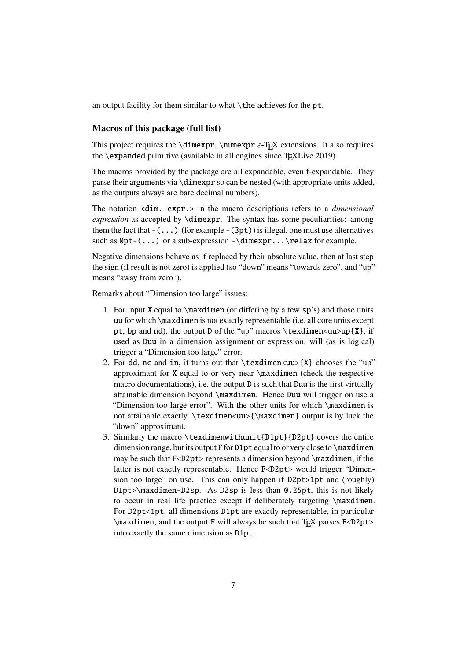an output facility for them similar to what  $\theta$  achieves for the pt.

#### <span id="page-6-0"></span>**Macros of this package (full list)**

This project requires the \dimexpr, \numexpr  $\varepsilon$ -T<sub>E</sub>X extensions. It also requires the \expanded primitive (available in all engines since T<sub>E</sub>XLive 2019).

The macros provided by the package are all expandable, even f-expandable. They parse their arguments via \dimexpr so can be nested (with appropriate units added, as the outputs always are bare decimal numbers).

The notation <dim. expr.> in the macro descriptions refers to a *dimensional expression* as accepted by \dimexpr. The syntax has some peculiarities: among them the fact that  $-(\ldots)$  (for example  $-(3pt)$ ) is illegal, one must use alternatives such as  $\Phi(-\ldots)$  or a sub-expression -\dimexpr...\relax for example.

Negative dimensions behave as if replaced by their absolute value, then at last step the sign (if result is not zero) is applied (so "down" means "towards zero", and "up" means "away from zero").

Remarks about "Dimension too large" issues:

- 1. For input X equal to \maxdimen (or differing by a few sp's) and those units uu for which \maxdimen is not exactly representable (i.e. all core units except pt, bp and nd), the output D of the "up" macros  $\text{textu>up{X}, if}$ used as Duu in a dimension assignment or expression, will (as is logical) trigger a "Dimension too large" error.
- 2. For dd, nc and in, it turns out that  $\text{sum}$   $\text{uv}$  chooses the "up" approximant for X equal to or very near \maxdimen (check the respective macro documentations), i.e. the output D is such that Duu is the first virtually attainable dimension beyond \maxdimen. Hence Duu will trigger on use a "Dimension too large error". With the other units for which \maxdimen is not attainable exactly,  $\text{sum}$   $\text{maxdim}$  output is by luck the "down" approximant.
- 3. Similarly the macro \texdimenwithunit{D1pt}{D2pt} covers the entire dimension range, but its output F for D1pt equal to or very close to \maxdimen may be such that  $F < D2pt$  represents a dimension beyond \maxdimen, if the latter is not exactly representable. Hence F<D2pt> would trigger "Dimension too large" on use. This can only happen if D2pt>1pt and (roughly) D1pt>\maxdimen-D2sp. As D2sp is less than 0.25pt, this is not likely to occur in real life practice except if deliberately targeting \maxdimen. For D2pt<1pt, all dimensions D1pt are exactly representable, in particular  $\max$ dimen, and the output F will always be such that T<sub>E</sub>X parses F<D2pt> into exactly the same dimension as D1pt.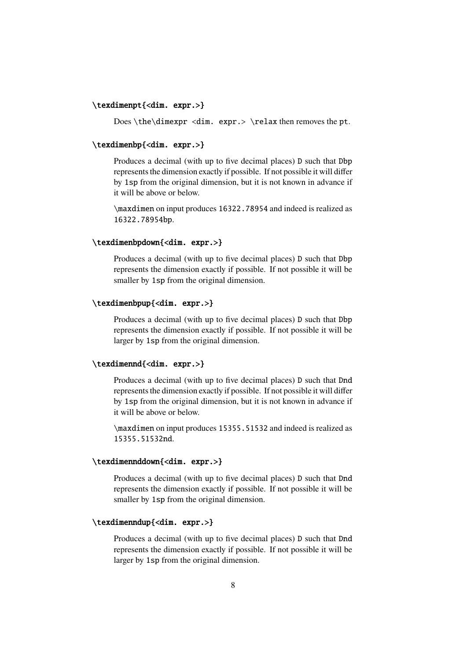#### <span id="page-7-0"></span>\texdimenpt{<dim. expr.>}

Does \the\dimexpr <dim. expr.> \relax then removes the pt.

#### <span id="page-7-1"></span>\texdimenbp{<dim. expr.>}

Produces a decimal (with up to five decimal places) D such that Dbp represents the dimension exactly if possible. If not possible it will differ by 1sp from the original dimension, but it is not known in advance if it will be above or below.

\maxdimen on input produces 16322.78954 and indeed is realized as 16322.78954bp.

#### <span id="page-7-2"></span>\texdimenbpdown{<dim. expr.>}

Produces a decimal (with up to five decimal places) D such that Dbp represents the dimension exactly if possible. If not possible it will be smaller by 1sp from the original dimension.

#### <span id="page-7-3"></span>\texdimenbpup{<dim. expr.>}

Produces a decimal (with up to five decimal places) D such that Dbp represents the dimension exactly if possible. If not possible it will be larger by 1sp from the original dimension.

#### <span id="page-7-4"></span>\texdimennd{<dim. expr.>}

Produces a decimal (with up to five decimal places) D such that Dnd represents the dimension exactly if possible. If not possible it will differ by 1sp from the original dimension, but it is not known in advance if it will be above or below.

\maxdimen on input produces 15355.51532 and indeed is realized as 15355.51532nd.

#### <span id="page-7-5"></span>\texdimennddown{<dim. expr.>}

Produces a decimal (with up to five decimal places) D such that Dnd represents the dimension exactly if possible. If not possible it will be smaller by 1sp from the original dimension.

#### <span id="page-7-6"></span>\texdimenndup{<dim. expr.>}

Produces a decimal (with up to five decimal places) D such that Dnd represents the dimension exactly if possible. If not possible it will be larger by 1sp from the original dimension.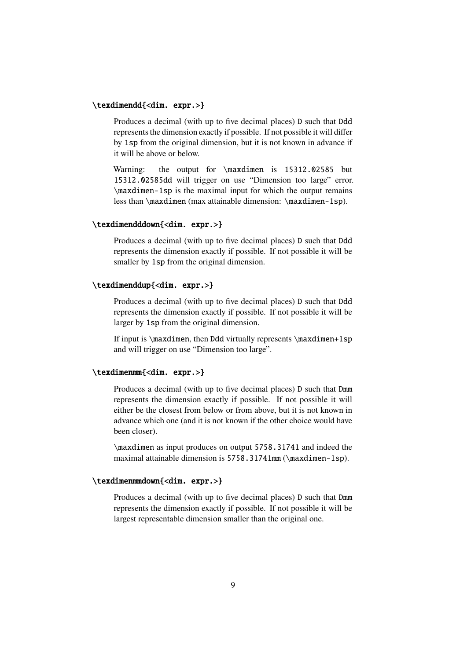#### <span id="page-8-0"></span>\texdimendd{<dim. expr.>}

Produces a decimal (with up to five decimal places) D such that Ddd represents the dimension exactly if possible. If not possible it will differ by 1sp from the original dimension, but it is not known in advance if it will be above or below.

Warning: the output for \maxdimen is 15312.02585 but 15312.02585dd will trigger on use "Dimension too large" error. \maxdimen-1sp is the maximal input for which the output remains less than \maxdimen (max attainable dimension: \maxdimen-1sp).

#### <span id="page-8-1"></span>\texdimendddown{<dim. expr.>}

Produces a decimal (with up to five decimal places) D such that Ddd represents the dimension exactly if possible. If not possible it will be smaller by 1sp from the original dimension.

#### <span id="page-8-2"></span>\texdimenddup{<dim. expr.>}

Produces a decimal (with up to five decimal places) D such that Ddd represents the dimension exactly if possible. If not possible it will be larger by 1sp from the original dimension.

If input is  $\text{lim}$ , then Ddd virtually represents  $\text{lim}$ +1sp and will trigger on use "Dimension too large".

#### <span id="page-8-3"></span>\texdimenmm{<dim. expr.>}

Produces a decimal (with up to five decimal places) D such that Dmm represents the dimension exactly if possible. If not possible it will either be the closest from below or from above, but it is not known in advance which one (and it is not known if the other choice would have been closer).

\maxdimen as input produces on output 5758.31741 and indeed the maximal attainable dimension is 5758.31741mm (\maxdimen-1sp).

#### <span id="page-8-4"></span>\texdimenmmdown{<dim. expr.>}

Produces a decimal (with up to five decimal places) D such that Dmm represents the dimension exactly if possible. If not possible it will be largest representable dimension smaller than the original one.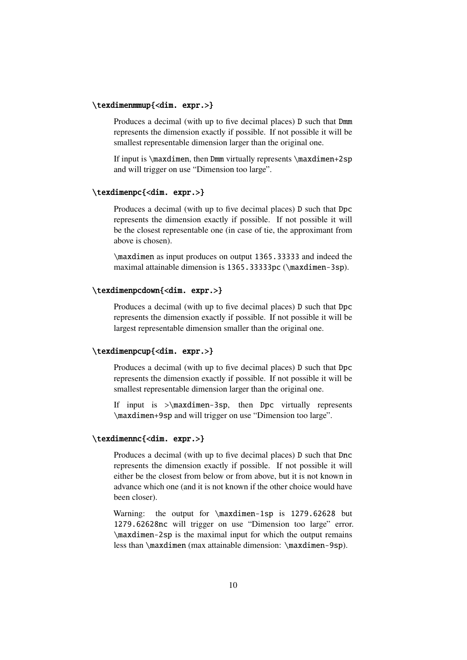#### <span id="page-9-0"></span>\texdimenmmup{<dim. expr.>}

Produces a decimal (with up to five decimal places) D such that Dmm represents the dimension exactly if possible. If not possible it will be smallest representable dimension larger than the original one.

If input is \maxdimen, then Dmm virtually represents \maxdimen+2sp and will trigger on use "Dimension too large".

#### <span id="page-9-1"></span>\texdimenpc{<dim. expr.>}

Produces a decimal (with up to five decimal places) D such that Dpc represents the dimension exactly if possible. If not possible it will be the closest representable one (in case of tie, the approximant from above is chosen).

\maxdimen as input produces on output 1365.33333 and indeed the maximal attainable dimension is 1365.33333pc (\maxdimen-3sp).

#### <span id="page-9-2"></span>\texdimenpcdown{<dim. expr.>}

Produces a decimal (with up to five decimal places) D such that Dpc represents the dimension exactly if possible. If not possible it will be largest representable dimension smaller than the original one.

#### <span id="page-9-3"></span>\texdimenpcup{<dim. expr.>}

Produces a decimal (with up to five decimal places) D such that Dpc represents the dimension exactly if possible. If not possible it will be smallest representable dimension larger than the original one.

If input is >\maxdimen-3sp, then Dpc virtually represents \maxdimen+9sp and will trigger on use "Dimension too large".

#### <span id="page-9-4"></span>\texdimennc{<dim. expr.>}

Produces a decimal (with up to five decimal places) D such that Dnc represents the dimension exactly if possible. If not possible it will either be the closest from below or from above, but it is not known in advance which one (and it is not known if the other choice would have been closer).

Warning: the output for \maxdimen-1sp is 1279.62628 but 1279.62628nc will trigger on use "Dimension too large" error. \maxdimen-2sp is the maximal input for which the output remains less than \maxdimen (max attainable dimension: \maxdimen-9sp).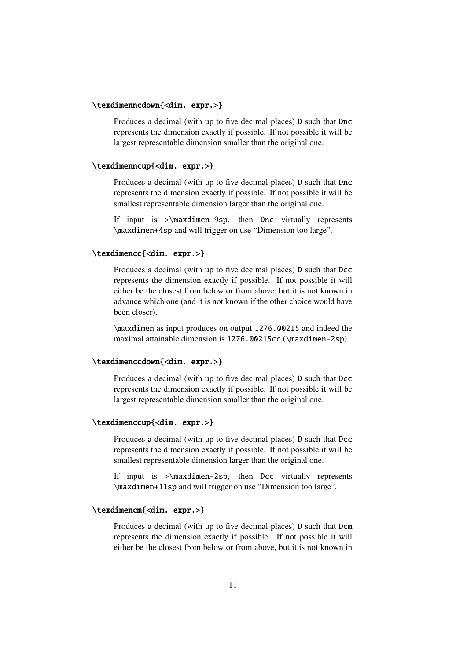#### <span id="page-10-0"></span>\texdimenncdown{<dim. expr.>}

Produces a decimal (with up to five decimal places) D such that Dnc represents the dimension exactly if possible. If not possible it will be largest representable dimension smaller than the original one.

#### <span id="page-10-1"></span>\texdimenncup{<dim. expr.>}

Produces a decimal (with up to five decimal places) D such that Dnc represents the dimension exactly if possible. If not possible it will be smallest representable dimension larger than the original one.

If input is  $>\max$ dimen-9sp, then Dnc virtually represents \maxdimen+4sp and will trigger on use "Dimension too large".

#### \texdimencc{<dim. expr.>}

Produces a decimal (with up to five decimal places) D such that Dcc represents the dimension exactly if possible. If not possible it will either be the closest from below or from above, but it is not known in advance which one (and it is not known if the other choice would have been closer).

\maxdimen as input produces on output 1276.00215 and indeed the maximal attainable dimension is 1276.00215cc (\maxdimen-2sp).

#### \texdimenccdown{<dim. expr.>}

Produces a decimal (with up to five decimal places) D such that Dcc represents the dimension exactly if possible. If not possible it will be largest representable dimension smaller than the original one.

#### <span id="page-10-2"></span>\texdimenccup{<dim. expr.>}

Produces a decimal (with up to five decimal places) D such that Dcc represents the dimension exactly if possible. If not possible it will be smallest representable dimension larger than the original one.

If input is  $>\$ maxdimen-2sp, then Dcc virtually represents \maxdimen+11sp and will trigger on use "Dimension too large".

#### <span id="page-10-3"></span>\texdimencm{<dim. expr.>}

Produces a decimal (with up to five decimal places) D such that Dcm represents the dimension exactly if possible. If not possible it will either be the closest from below or from above, but it is not known in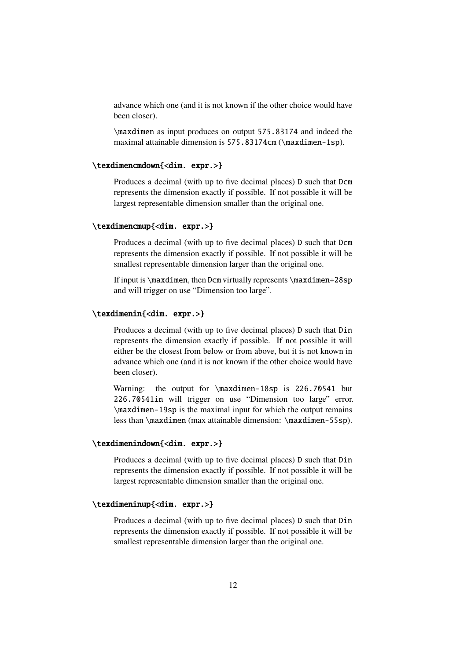advance which one (and it is not known if the other choice would have been closer).

\maxdimen as input produces on output 575.83174 and indeed the maximal attainable dimension is 575.83174cm (\maxdimen-1sp).

#### <span id="page-11-0"></span>\texdimencmdown{<dim. expr.>}

Produces a decimal (with up to five decimal places) D such that Dcm represents the dimension exactly if possible. If not possible it will be largest representable dimension smaller than the original one.

#### <span id="page-11-1"></span>\texdimencmup{<dim. expr.>}

Produces a decimal (with up to five decimal places) D such that Dcm represents the dimension exactly if possible. If not possible it will be smallest representable dimension larger than the original one.

If input is \maxdimen, then Dcm virtually represents \maxdimen+28sp and will trigger on use "Dimension too large".

#### <span id="page-11-2"></span>\texdimenin{<dim. expr.>}

Produces a decimal (with up to five decimal places) D such that Din represents the dimension exactly if possible. If not possible it will either be the closest from below or from above, but it is not known in advance which one (and it is not known if the other choice would have been closer).

Warning: the output for \maxdimen-18sp is 226.70541 but 226.70541in will trigger on use "Dimension too large" error. \maxdimen-19sp is the maximal input for which the output remains less than \maxdimen (max attainable dimension: \maxdimen-55sp).

#### <span id="page-11-3"></span>\texdimenindown{<dim. expr.>}

Produces a decimal (with up to five decimal places) D such that Din represents the dimension exactly if possible. If not possible it will be largest representable dimension smaller than the original one.

#### <span id="page-11-4"></span>\texdimeninup{<dim. expr.>}

Produces a decimal (with up to five decimal places) D such that Din represents the dimension exactly if possible. If not possible it will be smallest representable dimension larger than the original one.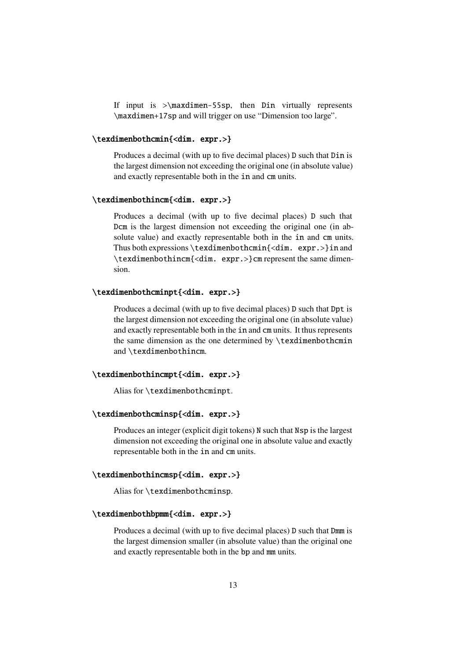If input is  $>\max{dimension of 55$ sp, then Din virtually represents \maxdimen+17sp and will trigger on use "Dimension too large".

#### <span id="page-12-0"></span>\texdimenbothcmin{<dim. expr.>}

Produces a decimal (with up to five decimal places) D such that Din is the largest dimension not exceeding the original one (in absolute value) and exactly representable both in the in and cm units.

#### <span id="page-12-1"></span>\texdimenbothincm{<dim. expr.>}

Produces a decimal (with up to five decimal places) D such that Dcm is the largest dimension not exceeding the original one (in absolute value) and exactly representable both in the in and cm units. Thus both expressions \texdimenbothcmin{<dim. expr.>}in and \texdimenbothincm{<dim. expr.>}cm represent the same dimension.

#### <span id="page-12-2"></span>\texdimenbothcminpt{<dim. expr.>}

Produces a decimal (with up to five decimal places) D such that Dpt is the largest dimension not exceeding the original one (in absolute value) and exactly representable both in the in and cm units. It thus represents the same dimension as the one determined by \texdimenbothcmin and \texdimenbothincm.

#### <span id="page-12-3"></span>\texdimenbothincmpt{<dim. expr.>}

Alias for \texdimenbothcminpt.

#### <span id="page-12-4"></span>\texdimenbothcminsp{<dim. expr.>}

Produces an integer (explicit digit tokens) N such that Nsp is the largest dimension not exceeding the original one in absolute value and exactly representable both in the in and cm units.

#### <span id="page-12-5"></span>\texdimenbothincmsp{<dim. expr.>}

Alias for \texdimenbothcminsp.

#### <span id="page-12-6"></span>\texdimenbothbpmm{<dim. expr.>}

Produces a decimal (with up to five decimal places) D such that Dmm is the largest dimension smaller (in absolute value) than the original one and exactly representable both in the bp and mm units.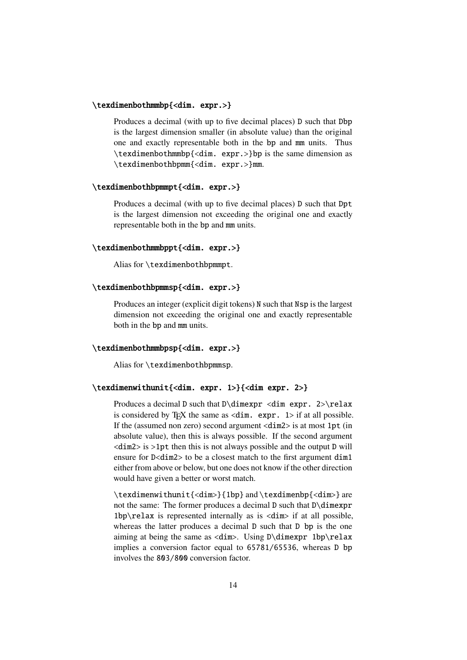#### <span id="page-13-0"></span>\texdimenbothmmbp{<dim. expr.>}

Produces a decimal (with up to five decimal places) D such that Dbp is the largest dimension smaller (in absolute value) than the original one and exactly representable both in the bp and mm units. Thus \texdimenbothmmbp{<dim. expr.>}bp is the same dimension as \texdimenbothbpmm{<dim. expr.>}mm.

#### <span id="page-13-1"></span>\texdimenbothbpmmpt{<dim. expr.>}

Produces a decimal (with up to five decimal places) D such that Dpt is the largest dimension not exceeding the original one and exactly representable both in the bp and mm units.

#### <span id="page-13-2"></span>\texdimenbothmmbppt{<dim. expr.>}

Alias for \texdimenbothbpmmpt.

#### <span id="page-13-3"></span>\texdimenbothbpmmsp{<dim. expr.>}

Produces an integer (explicit digit tokens) N such that Nsp is the largest dimension not exceeding the original one and exactly representable both in the bp and mm units.

#### <span id="page-13-4"></span>\texdimenbothmmbpsp{<dim. expr.>}

Alias for \texdimenbothbpmmsp.

#### <span id="page-13-5"></span>\texdimenwithunit{<dim. expr. 1>}{<dim expr. 2>}

Produces a decimal D such that  $D\dim\exp r \cdot \dim\exp r$ . 2>\relax is considered by T<sub>E</sub>X the same as  $\langle \text{dim.} \text{expr. } 1 \rangle$  if at all possible. If the (assumed non zero) second argument <dim2> is at most 1pt (in absolute value), then this is always possible. If the second argument <dim2> is >1pt then this is not always possible and the output D will ensure for D<dim2> to be a closest match to the first argument dim1 either from above or below, but one does not know if the other direction would have given a better or worst match.

\texdimenwithunit{<dim>}{1bp} and \texdimenbp{<dim>} are not the same: The former produces a decimal D such that D\dimexpr 1bp\relax is represented internally as is <dim> if at all possible, whereas the latter produces a decimal D such that D bp is the one aiming at being the same as  $\langle \text{dim} \rangle$ . Using D\dimexpr 1bp\relax implies a conversion factor equal to 65781/65536, whereas D bp involves the 803/800 conversion factor.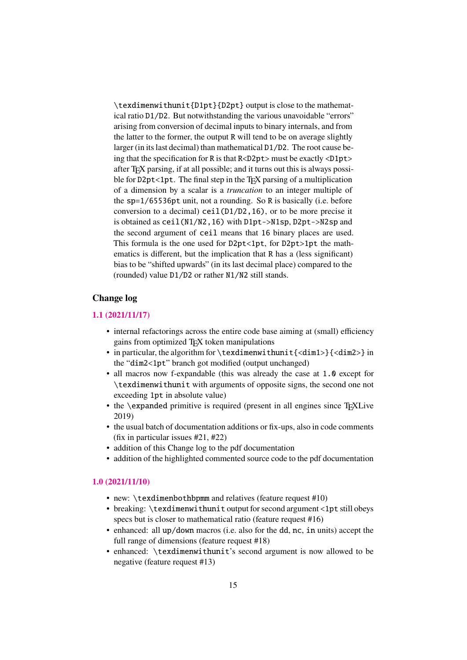\texdimenwithunit{D1pt}{D2pt} output is close to the mathematical ratio D1/D2. But notwithstanding the various unavoidable "errors" arising from conversion of decimal inputs to binary internals, and from the latter to the former, the output R will tend to be on average slightly larger (in its last decimal) than mathematical D1/D2. The root cause being that the specification for R is that R<D2pt> must be exactly <D1pt> after T<sub>E</sub>X parsing, if at all possible; and it turns out this is always possible for  $D2pt < 1pt$ . The final step in the T<sub>E</sub>X parsing of a multiplication of a dimension by a scalar is a *truncation* to an integer multiple of the sp=1/65536pt unit, not a rounding. So R is basically (i.e. before conversion to a decimal) ceil(D1/D2,16), or to be more precise it is obtained as ceil(N1/N2,16) with D1pt->N1sp, D2pt->N2sp and the second argument of ceil means that 16 binary places are used. This formula is the one used for D2pt<1pt, for D2pt>1pt the mathematics is different, but the implication that R has a (less significant) bias to be "shifted upwards" (in its last decimal place) compared to the (rounded) value D1/D2 or rather N1/N2 still stands.

#### **Change log**

#### **1.1 (2021/11/17)**

- <span id="page-14-0"></span>• internal refactorings across the entire code base aiming at (small) efficiency gains from optimized TEX token manipulations
- <span id="page-14-1"></span>• [in particula](https://github.com/jfbu/texdimens/compare/1.0...1.1#files_bucket)r, the algorithm for \texdimenwithunit{<dim1>}{<dim2>} in the "dim2<1pt" branch got modified (output unchanged)
- all macros now f-expandable (this was already the case at 1.0 except for \texdimenwithunit with arguments of opposite signs, the second one not exceeding 1pt in absolute value)
- the \expanded primitive is required (present in all engines since T<sub>E</sub>XLive 2019)
- the usual batch of documentation additions or fix-ups, also in code comments (fix in particular issues #21, #22)
- addition of this Change log to the pdf documentation
- addition of the highlighted commented source code to the pdf documentation

#### **1.0 (2021/11/10)**

- new: \texdimenbothbpmm and relatives (feature request #10)
- <span id="page-14-2"></span>• breaking: \texdimenwithunit output for second argument <1pt still obeys [specs but i](https://github.com/jfbu/texdimens/compare/0.99d...1.0#files_bucket)s closer to mathematical ratio (feature request #16)
- enhanced: all up/down macros (i.e. also for the dd, nc, in units) accept the full range of dimensions (feature request #18)
- enhanced: \texdimenwithunit's second argument is now allowed to be negative (feature request #13)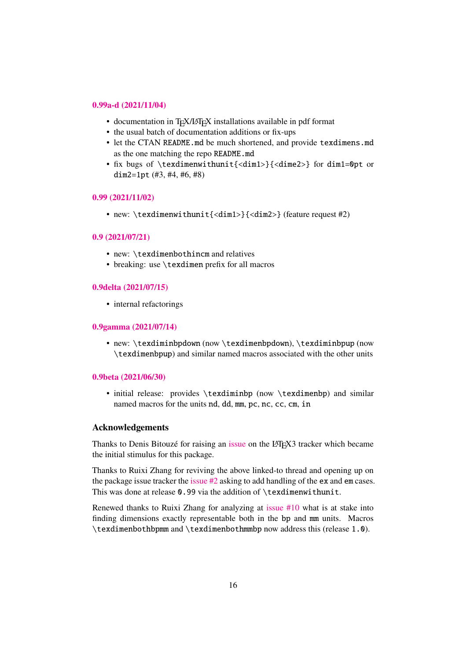#### **0.99a-d (2021/11/04)**

- documentation in T<sub>E</sub>X/L<sub>ATEX</sub> installations available in pdf format
- the usual batch of documentation additions or fix-ups
- <span id="page-15-0"></span>• [let the CTAN](https://github.com/jfbu/texdimens/compare/0.99...0.99d#files_bucket) README.md be much shortened, and provide texdimens.md as the one matching the repo README.md
- fix bugs of \texdimenwithunit{<dim1>}{<dime2>} for dim1=0pt or dim2=1pt  $(\#3, \#4, \#6, \#8)$

#### **0.99 (2021/11/02)**

• new: \texdimenwithunit{<dim1>}{<dim2>} (feature request #2)

#### <span id="page-15-1"></span>**[0.9 \(2021/07/21\)](https://github.com/jfbu/texdimens/compare/0.9...0.99#files_bucket)**

- new: \texdimenbothincm and relatives
- <span id="page-15-2"></span>• breaking: use \texdimen prefix for all macros

#### **0.9delta (2021/07/15)**

• internal refactorings

#### <span id="page-15-3"></span>**[0.9gamma \(2021/07/1](https://github.com/jfbu/texdimens/compare/0.9gamma...0.9delta#files_bucket)4)**

• new: \texdiminbpdown (now \texdimenbpdown), \texdiminbpup (now \texdimenbpup) and similar named macros associated with the other units

#### <span id="page-15-4"></span>**0.9beta (2021/06/30)**

• initial release: provides \texdiminbp (now \texdimenbp) and similar named macros for the units nd, dd, mm, pc, nc, cc, cm, in

#### <span id="page-15-5"></span>**Acknowledgements**

Thanks to Denis Bitouzé for raising an issue on the LATEX3 tracker which became the initial stimulus for this package.

<span id="page-15-6"></span>Thanks to Ruixi Zhang for reviving the above linked-to thread and opening up on the package issue tracker the issue  $\#2$  as[king t](https://github.com/latex3/latex3/issues/953)o add handling of the ex and em cases. This was done at release 0.99 via the addition of \texdimenwithunit.

Renewed thanks to Ruixi Zhang for analyzing at issue #10 what is at stake into finding dimensions exactly [represen](https://github.com/jfbu/texdimens/issues/2)table both in the bp and mm units. Macros \texdimenbothbpmm and \texdimenbothmmbp now address this (release 1.0).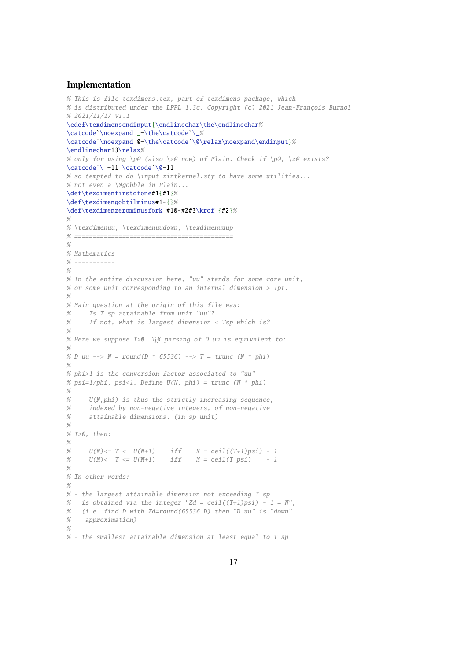#### <span id="page-16-0"></span>**Implementation**

```
% This is file texdimens.tex, part of texdimens package, which
% is distributed under the LPPL 1.3c. Copyright (c) 2021 Jean-François Burnol
% 2021/11/17 v1.1
\edef\texdimensendinput{\endlinechar\the\endlinechar%
\catcode`\noexpand _=\the\catcode`\_%
\catcode`\noexpand @=\the\catcode`\@\relax\noexpand\endinput}%
\endlinechar13\relax%
% only for using \emptyset (also \zeta now) of Plain. Check if \pmb{\varphi}, \zeta exists?
\catcode`\_=11 \catcode`\@=11
% so tempted to do \input xintkernel.sty to have some utilities...
% not even a \@gobble in Plain...
\def\texdimenfirstofone#1{#1}%
\def\texdimengobtilminus#1-{}%
\def\texdimenzerominusfork #10-#2#3\krof {#2}%
%
% \texdimenuu, \texdimenuudown, \texdimenuuup
% ===========================================
%
% Mathematics
\% -----------
%
% In the entire discussion here, "uu" stands for some core unit,
% or some unit corresponding to an internal dimension > 1pt.
%
% Main question at the origin of this file was:
% Is T sp attainable from unit "uu"?.
% If not, what is largest dimension < Tsp which is?
%
% Here we suppose T>0. Tre parsing of D uu is equivalent to:
%
% D uu --> N = round(D * 65536) --> T = trunc (N * phi)%
% phi>1 is the conversion factor associated to "uu"
% psi=1/phi, psi<1. Define U(N, phi) = true (N * phi)\alpha% U(N,phi) is thus the strictly increasing sequence,
% indexed by non-negative integers, of non-negative
% attainable dimensions. (in sp unit)
%
% T>0, then:%
% U(N) \leq T \leq U(N+1) iff N = \text{ceil}((T+1)\text{psi}) - 1% U(M)<sub>T</sub> \le U(M+1) iff M = \text{ceil}(T \text{psi}) - 1
%
% In other words:
%
% - the largest attainable dimension not exceeding T sp
% is obtained via the integer "Zd = ceil((T+1)psi) - 1 = N",
% (i.e. find D with Zd=round(65536 D) then "D uu" is "down"
% approximation)
%
% - the smallest attainable dimension at least equal to T sp
```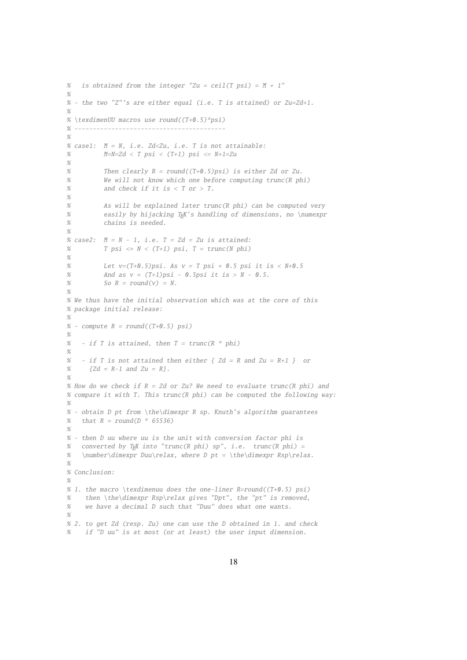```
% is obtained from the integer "Zu = ceil(T psi) = M + 1"
%
% - the two "Z"'s are either equal (i.e. T is attained) or Zu=Zd+1.
%
% \texdimenUU macros use round((T+0.5)*psi)
% -----------------------------------------
%
% case1: M = N, i.e. Zd<Zu, i.e. T is not attainable:
% M=N=Zd \le T \text{psi} \le (T+1) \text{psi} \le M+1=Zu%
% Then clearly R = round((T+0.5)psi) is either Zd or Zu.
% We will not know which one before computing trunc(R phi)
% and check if it is < T or > T.
%
% As will be explained later trunc(R phi) can be computed very
% easily by hijacking T<sub>E</sub>X's handling of dimensions, no \numexpr
% chains is needed.
%
% case2: M = N - 1, i.e. T = Zd = Zu is attained:
% T psi \leq N < (T+1) psi, T = \text{trunc}(N phi)%
% Let v=(T+0.5)psi. As v = Tpsi + 0.5psi it is < N+0.5
% And as v = (T+1)psi - 0.5psi it is > N - 0.5.
% So R = round(v) = N.
%
% We thus have the initial observation which was at the core of this
% package initial release:
%
% - compute R = round((T+0.5) psi)%
% - if T is attained, then T = \text{trunc}(R * phi)%
% - if T is not attained then either \{ Zd = R \text{ and } Zu = R+1 \} or
% {Zd = R-1} and Zu = R}.O/% How do we check if R = Zd or Zu? We need to evaluate trunc(R phi) and
% compare it with T. This trunc(R phi) can be computed the following way:
%
% - obtain D pt from \the\dimexpr R sp. Knuth's algorithm guarantees
% that R = round(D * 65536)%
% - then D uu where uu is the unit with conversion factor phi is
% converted by TFX into "trunc(R phi) sp", i.e. trunc(R phi) =
% \number\dimexpr Duu\relax, where D pt = \the\dimexpr Rsp\relax.
%
% Conclusion:
%
% 1. the macro \texdimenuu does the one-liner R=round((T+0.5) psi)
% then \the\dimexpr Rsp\relax gives "Dpt", the "pt" is removed,
% we have a decimal D such that "Duu" does what one wants.
%
% 2. to get Zd (resp. Zu) one can use the D obtained in 1. and check
    if "D uu" is at most (or at least) the user input dimension.
```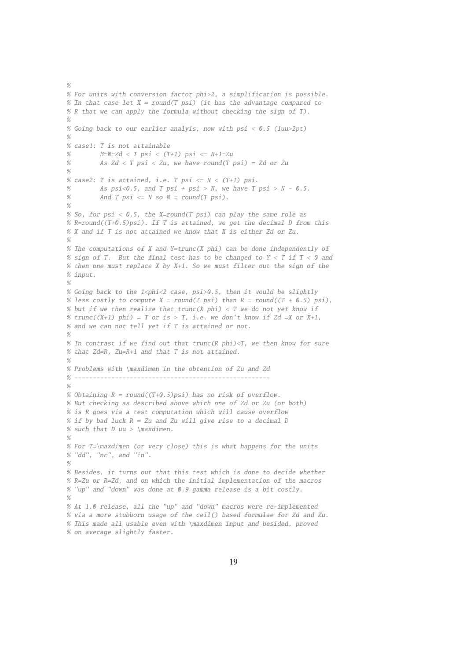```
% For units with conversion factor phi>2, a simplification is possible.
% In that case let X = round(T psi) (it has the advantage compared to
% R that we can apply the formula without checking the sign of T).
%
% Going back to our earlier analyis, now with psi < 0.5 (luu>2pt)
%
% case1: T is not attainable
% M=N=Zd < T psi < (T+1) psi <= N+1=Zu% As Zd < T psi < Zu, we have round(T psi) = Zd or Zu
%
% case2: T is attained, i.e. T psi \leq N < (T+1) psi.
% As psi < 0.5, and T psi + psi > N, we have T psi > N - 0.5.
% And T psi \leq N so N = round(T \psi).
%
% So, for psi < 0.5, the X=round(T psi) can play the same role as
% R = round((T+0.5) psi). If T is attained, we get the decimal D from this
% X and if T is not attained we know that X is either Zd or Zu.
%
% The computations of X and Y=trunc(X phi) can be done independently of
% sign of T. But the final test has to be changed to Y < T if T < 0 and
% then one must replace X by X+1. So we must filter out the sign of the
% input.
%
% Going back to the 1<phi<2 case, psi>0.5, then it would be slightly
% less costly to compute X = round(T psi) than R = round((T + 0.5) psi),
% but if we then realize that trunc(X phi) < T we do not yet know if
% trunc((X+1) phi) = T or is > T, i.e. we don't know if Zd =X or X+1,
% and we can not tell yet if T is attained or not.
%
% In contrast if we find out that trunc(R phi)<T, we then know for sure
% that Zd=R, Zu=R+1 and that T is not attained.
%
% Problems with \maxdimen in the obtention of Zu and Zd
% -----------------------------------------------------
%
% Obtaining R = round((T+0.5)psi) has no risk of overflow.
% But checking as described above which one of Zd or Zu (or both)
% is R goes via a test computation which will cause overflow
% if by bad luck R = Zu and Zu will give rise to a decimal D
% such that D uu > \maxdimen.
%
% For T=\maxdimen (or very close) this is what happens for the units
% "dd", "nc", and "in".
%
% Besides, it turns out that this test which is done to decide whether
% R=Zu or R=Zd, and on which the initial implementation of the macros
% "up" and "down" was done at 0.9 gamma release is a bit costly.
%
% At 1.0 release, all the "up" and "down" macros were re-implemented
% via a more stubborn usage of the ceil() based formulae for Zd and Zu.
% This made all usable even with \maxdimen input and besided, proved
% on average slightly faster.
```
 $\alpha$ 

19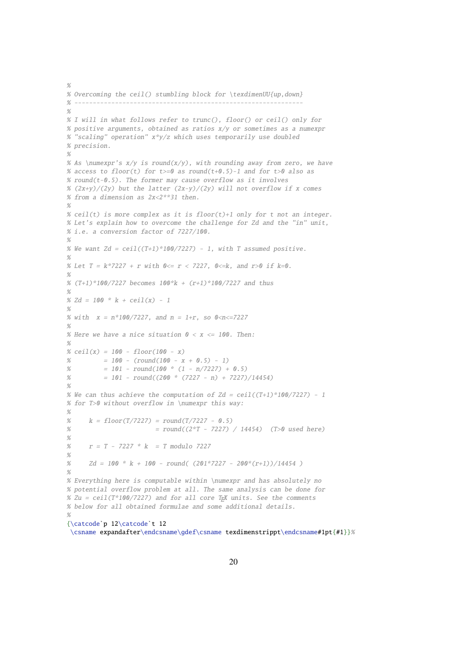```
%
% Overcoming the ceil() stumbling block for \texdimenUU{up,down}
% --------------------------------------------------------------
\alpha% I will in what follows refer to trunc(), floor() or ceil() only for
% positive arguments, obtained as ratios x/y or sometimes as a numexpr
% "scaling" operation" x*y/z which uses temporarily use doubled
% precision.
%
% As \numexpr's x/y is round(x/y), with rounding away from zero, we have
% access to floor(t) for t>=0 as round(t+0.5)-1 and for t>0 also as
% round(t-0.5). The former may cause overflow as it involves
% (2x+y)/(2y) but the latter (2x-y)/(2y) will not overflow if x comes
% from a dimension as 2x<2**31 then.
%
% ceil(t) is more complex as it is floor(t)+1 only for t not an integer.
% Let's explain how to overcome the challenge for Zd and the "in" unit,
% i.e. a conversion factor of 7227/100.
%
% We want Zd = \text{ceil}((T+1)*100/7227) - 1, with T assumed positive.
%
% Let T = k*7227 + r with 0 \le r < 7227, 0 \le k, and r > 0 if k = 0.
%
% (T+1)*100/7227 becomes 100*k + (r+1)*100/7227 and thus
%
% Zd = 100 * k +ceil(x) - 1%
% with x = n*100/7227, and n = 1+r, so 0 < n < 7227%
% Here we have a nice situation 0 < x < 100. Then:
%
% ceil(x) = 100 - floor(100 - x)% = 100 - (round(100 - x + 0.5) - 1)% = 101 - round(100 * (1 - n/7227) + 0.5)% = 101 - round((200 * (7227 - n) + 7227)/14454)
\alpha% We can thus achieve the computation of Zd = ceil((T+1)*100/7227) - 1
% for T>0 without overflow in \numexpr this way:
\alpha% k = floor(T/7227) = round(T/7227 - 0.5)% = round((2*T - 7227) / 14454) (T>0 used here)
%
% r = T - 7227 * k = T modulo 7227
%
% Zd = 100 * k + 100 - round( (201*7227 - 200*(r+1))/14454)
%
% Everything here is computable within \numexpr and has absolutely no
% potential overflow problem at all. The same analysis can be done for
% Zu = ceil(T*100/7227) and for all core T<sub>E</sub>X units. See the comments
% below for all obtained formulae and some additional details.
%
{\catcode`p 12\catcode`t 12
 \csname expandafter\endcsname\gdef\csname texdimenstrippt\endcsname#1pt{#1}}%
```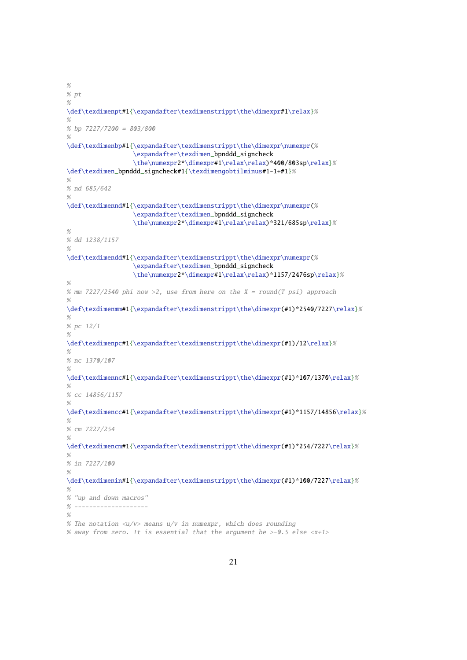```
%
% pt
%
\def\texdimenpt#1{\expandafter\texdimenstrippt\the\dimexpr#1\relax}%
%
% bp 7227/7200 = 803/800
%
\def\texdimenbp#1{\expandafter\texdimenstrippt\the\dimexpr\numexpr(%
                  \expandafter\texdimen_bpnddd_signcheck
                  \the\numexpr2*\dimexpr#1\relax\relax)*400/803sp\relax}%
\def\texdimen_bpnddd_signcheck#1{\texdimengobtilminus#1-1+#1}%
\%% nd 685/642
\alpha\def\texdimennd#1{\expandafter\texdimenstrippt\the\dimexpr\numexpr(%
                  \expandafter\texdimen_bpnddd_signcheck
                  \the\numexpr2*\dimexpr#1\relax\relax)*321/685sp\relax}%
%
% dd 1238/1157
%
\def\texdimendd#1{\expandafter\texdimenstrippt\the\dimexpr\numexpr(%
                   \expandafter\texdimen_bpnddd_signcheck
                  \the\numexpr2*\dimexpr#1\relax\relax)*1157/2476sp\relax}%
%
% mm 7227/2540 phi now >2, use from here on the X = round(T \psi) approach
\alpha\def\texdimenmm#1{\expandafter\texdimenstrippt\the\dimexpr(#1)*2540/7227\relax}%
%
% pc 12/1
%
\def\texdimenpc#1{\expandafter\texdimenstrippt\the\dimexpr(#1)/12\relax}%
%
% nc 1370/107
%
\def\texdimennc#1{\expandafter\texdimenstrippt\the\dimexpr(#1)*107/1370\relax}%
\alpha% cc 14856/1157
%
\def\texdimencc#1{\expandafter\texdimenstrippt\the\dimexpr(#1)*1157/14856\relax}%
%
% cm 7227/254
%
\def\texdimencm#1{\expandafter\texdimenstrippt\the\dimexpr(#1)*254/7227\relax}%
%
% in 7227/100
%
\def\texdimenin#1{\expandafter\texdimenstrippt\the\dimexpr(#1)*100/7227\relax}%
%
% "up and down macros"
% --------------------
%
% The notation \langle u/v \rangle means u/v in numexpr, which does rounding
% away from zero. It is essential that the argument be >-0.5 else \langle x+1 \rangle
```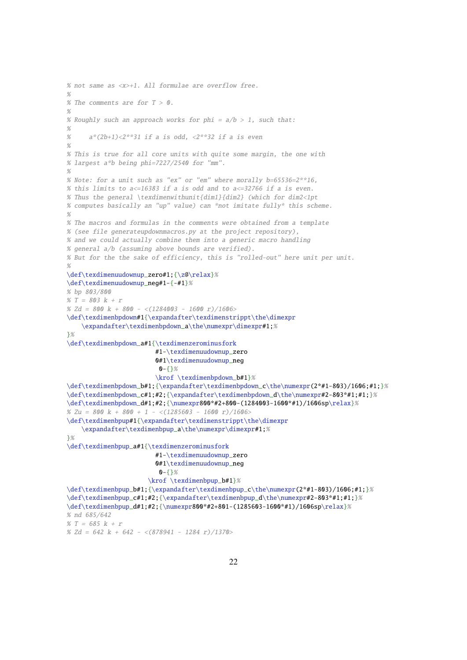```
% not same as <x>+1. All formulae are overflow free.
%
% The comments are for T > 0.
\alpha% Roughly such an approach works for phi = a/b > 1, such that:
%
% a*(2b+1) < 2**31 if a is odd, \langle 2**32 \rangle if a is even
%
% This is true for all core units with quite some margin, the one with
% largest a*b being phi=7227/2540 for "mm".
%
% Note: for a unit such as "ex" or "em" where morally b=65536=2**16,
% this limits to a \le 16383 if a is odd and to a \le 32766 if a is even.
% Thus the general \texdimenwithunit{dim1}{dim2} (which for dim2<1pt
% computes basically an "up" value) can *not imitate fully* this scheme.
%
% The macros and formulas in the comments were obtained from a template
% (see file generateupdownmacros.py at the project repository),
% and we could actually combine them into a generic macro handling
% general a/b (assuming above bounds are verified).
% But for the the sake of efficiency, this is "rolled-out" here unit per unit.
%
\def\texdimenuudownup_zero#1;{\z@\relax}%
\def\texdimenuudownup_neg#1-{-#1}%
% bp 803/800
% T = 803 k + r% Zd = 800 k + 800 - \langle(1284003 - 1600 r)/1606>
\def\texdimenbpdown#1{\expandafter\texdimenstrippt\the\dimexpr
    \expandafter\texdimenbpdown_a\the\numexpr\dimexpr#1;%
3%\def\texdimenbpdown_a#1{\texdimenzerominusfork
                        #1-\texdimenuudownup_zero
                        0#1\texdimenuudownup_neg
                         0 - \{ } %
                        \krof \texdimenbpdown_b#1}%
\def\texdimenbpdown_b#1;{\expandafter\texdimenbpdown_c\the\numexpr(2*#1-803)/1606;#1;}%
\def\texdimenbpdown_c#1;#2;{\expandafter\texdimenbpdown_d\the\numexpr#2-803*#1;#1;}%
\def\text{imenbpdown_d#1;#2};{\nnumexpr800*#2+800-(1284003-1600*#1)/1606sp\relax}% Zu = 800 k + 800 + 1 - <(1285603 - 1600 r)/1606\def\texdimenbpup#1{\expandafter\texdimenstrippt\the\dimexpr
    \expandafter\texdimenbpup_a\the\numexpr\dimexpr#1;%
}%
\def\texdimenbpup_a#1{\texdimenzerominusfork
                        #1-\texdimenuudownup_zero
                        0#1\texdimenuudownup_neg
                         0-{}%
                      \krof \texdimenbpup_b#1}%
\def\texdimenbpup_b#1;{\expandafter\texdimenbpup_c\the\numexpr(2*#1-803)/1606;#1;}%
\def\texdimenbpup_c#1;#2;{\expandafter\texdimenbpup_d\the\numexpr#2-803*#1;#1;}%
\def\texdimenbpup_d#1;#2;{\numexpr800*#2+801-(1285603-1600*#1)/1606sp\relax}%
% nd 685/642
% T = 685 k + r
```

```
% Zd = 642 k + 642 - \langle (878941 - 1284 r)/1370 \rangle
```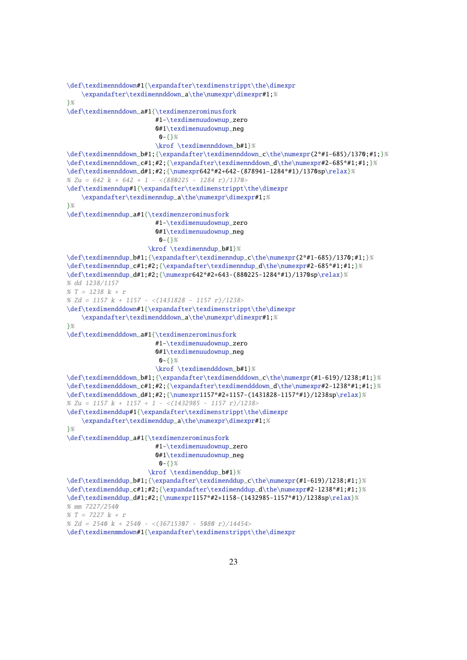```
\def\texdimennddown#1{\expandafter\texdimenstrippt\the\dimexpr
    \expandafter\texdimennddown_a\the\numexpr\dimexpr#1;%
}%
\def\texdimennddown_a#1{\texdimenzerominusfork
                        #1-\texdimenuudownup_zero
                        0#1\texdimenuudownup_neg
                         0 - 53%\krof \texdimennddown_b#1}%
\def\texdimennddown_b#1;{\expandafter\texdimennddown_c\the\numexpr(2*#1-685)/1370;#1;}%
\def\texdimennddown_c#1;#2;{\expandafter\texdimennddown_d\the\numexpr#2-685*#1;#1;}%
\def\texdimennddown_d#1;#2;{\numexpr642*#2+642-(878941-1284*#1)/1370sp\relax}%
% Zu = 642 k + 642 + 1 - <(880225 - 1284 r)/1370\def\texdimenndup#1{\expandafter\texdimenstrippt\the\dimexpr
    \expandafter\texdimenndup_a\the\numexpr\dimexpr#1;%
}%
\def\texdimenndup_a#1{\texdimenzerominusfork
                        #1-\texdimenuudownup_zero
                        0#1\texdimenuudownup_neg
                         0 - 1%
                      \krof \texdimenndup_b#1}%
\def\texdimenndup_b#1;{\expandafter\texdimenndup_c\the\numexpr(2*#1-685)/1370;#1;}%
\def\texdimenndup_c#1;#2;{\expandafter\texdimenndup_d\the\numexpr#2-685*#1;#1;}%
\def\texdimenndup_d#1;#2;{\numexpr642*#2+643-(880225-1284*#1)/1370sp\relax}%
% dd 1238/1157
% T = 1238 k + r% Zd = 1157 k + 1157 - \langle(1431828 - 1157 r)/1238>
\def\texdimendddown#1{\expandafter\texdimenstrippt\the\dimexpr
    \expandafter\texdimendddown_a\the\numexpr\dimexpr#1;%
}%
\def\texdimendddown_a#1{\texdimenzerominusfork
                        #1-\texdimenuudownup_zero
                        0#1\texdimenuudownup_neg
                         0 - \{ \}%
                        \krof \texdimendddown_b#1}%
\def\texdimendddown_b#1;{\expandafter\texdimendddown_c\the\numexpr(#1-619)/1238;#1;}%
\def\texdimendddown_c#1;#2;{\expandafter\texdimendddown_d\the\numexpr#2-1238*#1;#1;}%
\def\texdimendddown_d#1;#2;{\numexpr1157*#2+1157-(1431828-1157*#1)/1238sp\relax}%
% Zu = 1157 k + 1157 + 1 - \langle(1432985 - 1157 r)/1238>
\def\texdimenddup#1{\expandafter\texdimenstrippt\the\dimexpr
    \expandafter\texdimenddup_a\the\numexpr\dimexpr#1;%
}%
\def\texdimenddup_a#1{\texdimenzerominusfork
                        #1-\texdimenuudownup_zero
                        0#1\texdimenuudownup_neg
                         0 - \{ \}%
                      \krof \texdimenddup_b#1}%
\def\texdimenddup_b#1;{\expandafter\texdimenddup_c\the\numexpr(#1-619)/1238;#1;}%
\def\texdimenddup_c#1;#2;{\expandafter\texdimenddup_d\the\numexpr#2-1238*#1;#1;}%
\def\texdimenddup_d#1;#2;{\numexpr1157*#2+1158-(1432985-1157*#1)/1238sp\relax}%
% mm 7227/2540
% T = 7227 k + r% Zd = 2540 k + 2540 - <(36715307 - 5080 r)/14454>
```

```
\def\texdimenmmdown#1{\expandafter\texdimenstrippt\the\dimexpr
```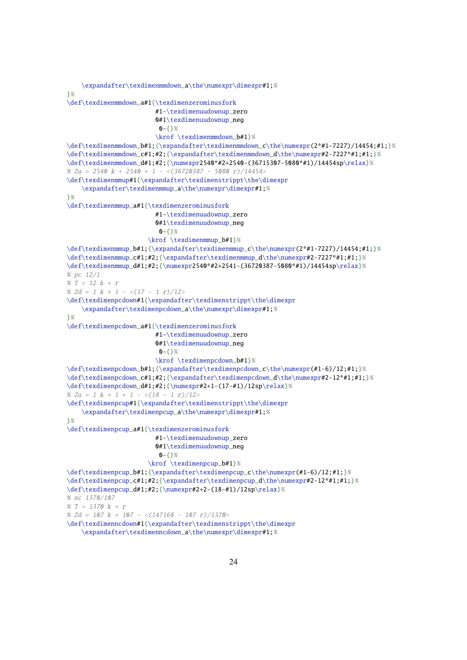```
\expandafter\texdimenmmdown_a\the\numexpr\dimexpr#1;%
}%
\def\texdimenmmdown_a#1{\texdimenzerominusfork
                         #1-\texdimenuudownup_zero
                         0#1\texdimenuudownup_neg
                         0 - 5 \frac{1}{2} %
                         \krof \texdimenmmdown_b#1}%
\def\texdimenmmdown_b#1;{\expandafter\texdimenmmdown_c\the\numexpr(2*#1-7227)/14454;#1;}%
\def\texdimenmmdown_c#1;#2;{\expandafter\texdimenmmdown_d\the\numexpr#2-7227*#1;#1;}%
\def\text{un-1}; #2; {\numexpr2540*#2+2540-(36715307-5080*#1})/14454sp\relax%
% Zu = 2540 k + 2540 + 1 - <(36720387 - 5080 r)/14454>
\def\texdimenmmup#1{\expandafter\texdimenstrippt\the\dimexpr
    \expandafter\texdimenmmup_a\the\numexpr\dimexpr#1;%
}%
\def\texdimenmmup_a#1{\texdimenzerominusfork
                         #1-\texdimenuudownup_zero
                         0#1\texdimenuudownup_neg
                          0 - 53%\krof \texdimenmmup_b#1}%
\def\texdimenmmup_b#1;{\expandafter\texdimenmmup_c\the\numexpr(2*#1-7227)/14454;#1;}%
\def\texdimenmmup_c#1;#2;{\expandafter\texdimenmmup_d\the\numexpr#2-7227*#1;#1;}%
\def\text{minmin}_{d\neq1;#2;^{\numexpr2540*#2+2541-(36720387-5080*#1)/14454sp\relax}% pc 12/1
% T = 12 k + r% Zd = 1 k + 1 - \langle (17 - 1 r)/12 \rangle\def\texdimenpcdown#1{\expandafter\texdimenstrippt\the\dimexpr
    \expandafter\texdimenpcdown_a\the\numexpr\dimexpr#1;%
}%
\def\texdimenpcdown_a#1{\texdimenzerominusfork
                         #1-\texdimenuudownup_zero
                         0#1\texdimenuudownup_neg
                          0 - \{\}\%\krof \texdimenpcdown_b#1}%
\def\texdimenpcdown_b#1;{\expandafter\texdimenpcdown_c\the\numexpr(#1-6)/12;#1;}%
\def\texdimenpcdown_c#1;#2;{\expandafter\texdimenpcdown_d\the\numexpr#2-12*#1;#1;}%
\def\texdimenpcdown_d#1;#2;{\numexpr#2+1-(17-#1)/12sp\relax}%
% Zu = 1 k + 1 + 1 - \langle (18 - 1 \text{ r})/12 \rangle\def\texdimenpcup#1{\expandafter\texdimenstrippt\the\dimexpr
    \expandafter\texdimenpcup_a\the\numexpr\dimexpr#1;%
}%
\def\texdimenpcup_a#1{\texdimenzerominusfork
                         #1-\texdimenuudownup_zero
                         0#1\texdimenuudownup_neg
                          0 - \{ } %
                       \krof \texdimenpcup_b#1}%
\def\texdimenpcup_b#1;{\expandafter\texdimenpcup_c\the\numexpr(#1-6)/12;#1;}%
\def\texdimenpcup_c#1;#2;{\expandafter\texdimenpcup_d\the\numexpr#2-12*#1;#1;}%
\def\texdimenpcup_d#1;#2;{\numexpr#2+2-(18-#1)/12sp\relax}%
% nc 1370/107
% T = 1370 k + r% Zd = 107 k + 107 - \langle (147168 - 107 r)/1370 \rangle\def\texdimenncdown#1{\expandafter\texdimenstrippt\the\dimexpr
    \expandafter\texdimenncdown_a\the\numexpr\dimexpr#1;%
```

```
24
```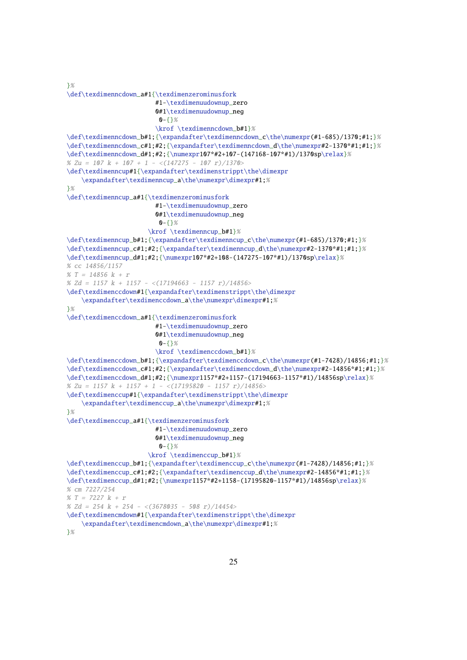```
}%
\def\texdimenncdown_a#1{\texdimenzerominusfork
                        #1-\texdimenuudownup_zero
                        0#1\texdimenuudownup_neg
                         0 - 1 8\krof \texdimenncdown_b#1}%
\def\texdimenncdown_b#1;{\expandafter\texdimenncdown_c\the\numexpr(#1-685)/1370;#1;}%
\def\texdimenncdown_c#1;#2;{\expandafter\texdimenncdown_d\the\numexpr#2-1370*#1;#1;}%
\def\texdimenncdown_d#1;#2;{\numexpr107*#2+107-(147168-107*#1)/1370sp\relax}%
% Zu = 107 k + 107 + 1 - \langle(147275 - 107 r)/1370>
\def\texdimenncup#1{\expandafter\texdimenstrippt\the\dimexpr
    \expandafter\texdimenncup_a\the\numexpr\dimexpr#1;%
}%
\def\texdimenncup_a#1{\texdimenzerominusfork
                        #1-\texdimenuudownup_zero
                        0#1\texdimenuudownup_neg
                         0 - 53%\krof \texdimenncup_b#1}%
\def\texdimenncup_b#1;{\expandafter\texdimenncup_c\the\numexpr(#1-685)/1370;#1;}%
\def\texdimenncup_c#1;#2;{\expandafter\texdimenncup_d\the\numexpr#2-1370*#1;#1;}%
\def\texdimenncup_d#1;#2;{\numexpr107*#2+108-(147275-107*#1)/1370sp\relax}%
% cc 14856/1157
% T = 14856 k + r% Zd = 1157 k + 1157 - <(17194663 - 1157 r)/14856>
\def\texdimenccdown#1{\expandafter\texdimenstrippt\the\dimexpr
    \expandafter\texdimenccdown_a\the\numexpr\dimexpr#1;%
}%
\def\texdimenccdown_a#1{\texdimenzerominusfork
                        #1-\texdimenuudownup_zero
                        0#1\texdimenuudownup_neg
                         0 - \{ } %
                        \krof \texdimenccdown_b#1}%
\def\texdimenccdown_b#1;{\expandafter\texdimenccdown_c\the\numexpr(#1-7428)/14856;#1;}%
\def\texdimenccdown_c#1;#2;{\expandafter\texdimenccdown_d\the\numexpr#2-14856*#1;#1;}%
\def\texdimenccdown_d#1;#2;{\numexpr1157*#2+1157-(17194663-1157*#1)/14856sp\relax}%
% Zu = 1157 k + 1157 + 1 - \langle(17195820 - 1157 r)/14856>
\def\texdimenccup#1{\expandafter\texdimenstrippt\the\dimexpr
    \expandafter\texdimenccup_a\the\numexpr\dimexpr#1;%
}%
\def\texdimenccup_a#1{\texdimenzerominusfork
                        #1-\texdimenuudownup_zero
                        0#1\texdimenuudownup_neg
                         0 - 5 }%
                      \krof \texdimenccup_b#1}%
\def\texdimenccup_b#1;{\expandafter\texdimenccup_c\the\numexpr(#1-7428)/14856;#1;}%
\def\texdimenccup_c#1;#2;{\expandafter\texdimenccup_d\the\numexpr#2-14856*#1;#1;}%
\def\texdimenccup_d#1;#2;{\numexpr1157*#2+1158-(17195820-1157*#1)/14856sp\relax}%
% cm 7227/254
% T = 7227 k + r% Zd = 254 k + 254 - <(3678035 - 508 r)/14454>
\def\texdimencmdown#1{\expandafter\texdimenstrippt\the\dimexpr
    \expandafter\texdimencmdown_a\the\numexpr\dimexpr#1;%
}%
```
25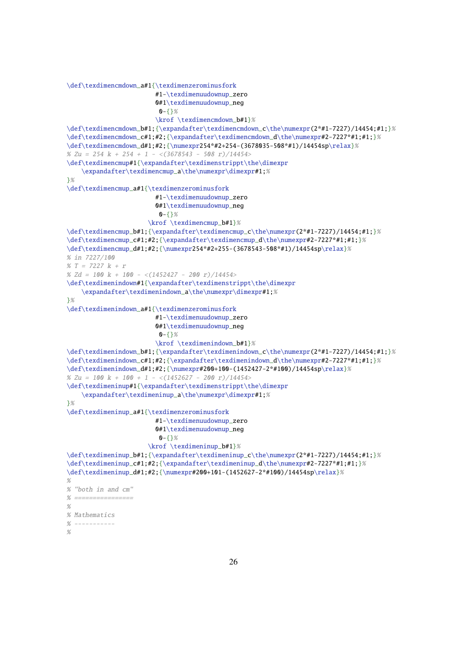```
\def\texdimencmdown a#1{\texdimenzerominusfork
                        #1-\texdimenuudownup_zero
                        0#1\texdimenuudownup_neg
                         0 - \{ } %
                        \krof \texdimencmdown_b#1}%
\def\texdimencmdown_b#1;{\expandafter\texdimencmdown_c\the\numexpr(2*#1-7227)/14454;#1;}%
\def\texdimencmdown_c#1;#2;{\expandafter\texdimencmdown_d\the\numexpr#2-7227*#1;#1;}%
\def\texdimencmdown_d#1;#2;{\numexpr254*#2+254-(3678035-508*#1)/14454sp\relax}%
% Zu = 254 k + 254 + 1 - <(3678543 - 508 r)/14454>
\def\texdimencmup#1{\expandafter\texdimenstrippt\the\dimexpr
    \expandafter\texdimencmup_a\the\numexpr\dimexpr#1;%
}%
\def\texdimencmup_a#1{\texdimenzerominusfork
                        #1-\texdimenuudownup_zero
                        0#1\texdimenuudownup_neg
                         0 - 5 } %
                      \krof \texdimencmup_b#1}%
\def\texdimencmup_b#1;{\expandafter\texdimencmup_c\the\numexpr(2*#1-7227)/14454;#1;}%
\def\texdimencmup_c#1;#2;{\expandafter\texdimencmup_d\the\numexpr#2-7227*#1;#1;}%
\def\text{minencamp_d#1;#2;}{numexpr254*#2+255-(3678543-508*#1)/14454sp\relax}{%% in 7227/100
% T = 7227 k + r
% Zd = 100 k + 100 - \langle(1452427 - 200 r)/14454>
\def\texdimenindown#1{\expandafter\texdimenstrippt\the\dimexpr
    \expandafter\texdimenindown_a\the\numexpr\dimexpr#1;%
}%
\def\texdimenindown_a#1{\texdimenzerominusfork
                        #1-\texdimenuudownup_zero
                        0#1\texdimenuudownup_neg
                         0 - \{3\%\krof \texdimenindown_b#1}%
\def\texdimenindown_b#1;{\expandafter\texdimenindown_c\the\numexpr(2*#1-7227)/14454;#1;}%
\def\texdimenindown_c#1;#2;{\expandafter\texdimenindown_d\the\numexpr#2-7227*#1;#1;}%
\def\texdimenindown_d#1;#2;{\numexpr#200+100-(1452427-2*#100)/14454sp\relax}%
% Zu = 100 k + 100 + 1 - \langle(1452627 - 200 r)/14454>
\def\texdimeninup#1{\expandafter\texdimenstrippt\the\dimexpr
    \expandafter\texdimeninup_a\the\numexpr\dimexpr#1;%
}%
\def\texdimeninup_a#1{\texdimenzerominusfork
                        #1-\texdimenuudownup_zero
                        0#1\texdimenuudownup_neg
                         0 - \{\}\%\krof \texdimeninup_b#1}%
\def\texdimeninup_b#1;{\expandafter\texdimeninup_c\the\numexpr(2*#1-7227)/14454;#1;}%
\def\texdimeninup_c#1;#2;{\expandafter\texdimeninup_d\the\numexpr#2-7227*#1;#1;}%
\def\texdimeninup_d#1;#2;{\numexpr#200+101-(1452627-2*#100)/14454sp\relax}%
%
% "both in and cm"
% ==================
%
% Mathematics
% - -%
```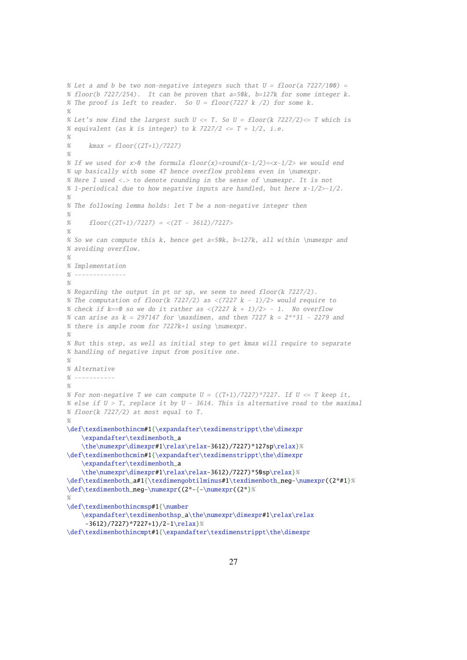```
% Let a and b be two non-negative integers such that U = floor(a 7227/100) =
% floor(b 7227/254). It can be proven that a=50k, b=127k for some integer k.
% The proof is left to reader. So U = floor(7227 k /2) for some k.
%
% Let's now find the largest such U \le T. So U = floor(k \, 7227/2) \le T which is
% equivalent (as k is integer) to k 7227/2 \leq T + 1/2, i.e.
\alpha% kmax = floor((2T+1)/7227)%
% If we used for x>0 the formula floor(x)=round(x-1/2)=\langle x-1/2\rangle we would end
% up basically with some 4T hence overflow problems even in \numexpr.
% Here I used <.> to denote rounding in the sense of \numexpr. It is not
% 1-periodical due to how negative inputs are handled, but here x-1/2>-1/2.
\alpha% The following lemma holds: let T be a non-negative integer then
%
% floor((2T+1)/7227) = \langle (2T - 3612)/7227 \rangle%
% So we can compute this k, hence get a=50k, b=127k, all within \numexpr and
% avoiding overflow.
%
% Implementation
% --------------
%
% Regarding the output in pt or sp, we seem to need floor(k 7227/2).
% The computation of floor(k 7227/2) as \langle(7227 k - 1)/2> would require to
% check if k == 0 so we do it rather as \langle (7227 \ k + 1)/2 \rangle - 1. No overflow
% can arise as k = 297147 for \maxdimen, and then 7227 k = 2**31 - 2279 and
% there is ample room for 7227k+1 using \numexpr.
%
% But this step, as well as initial step to get kmax will require to separate
% handling of negative input from positive one.
%
% Alternative
\frac{9}{2} ----------
%
% For non-negative T we can compute U = ((T+1)/7227)*7227. If U \le T keep it,
% else if U > T, replace it by U - 3614. This is alternative road to the maximal
% floor(k 7227/2) at most equal to T.
%
\def\texdimenbothincm#1{\expandafter\texdimenstrippt\the\dimexpr
    \expandafter\texdimenboth_a
    \the\numexpr\dimexpr#1\relax\relax-3612)/7227)*127sp\relax}%
\def\texdimenbothcmin#1{\expandafter\texdimenstrippt\the\dimexpr
    \expandafter\texdimenboth_a
    \the\numexpr\dimexpr#1\relax\relax-3612)/7227)*50sp\relax}%
\def\texdimenboth_a#1{\texdimengobtilminus#1\texdimenboth_neg-\numexpr((2*#1}%
\def\texdimenboth_neg-\numexpr((2*-{-\numexpr((2*}%
%
\def\texdimenbothincmsp#1{\number
    \expandafter\texdimenbothsp_a\the\numexpr\dimexpr#1\relax\relax
     -3612)/7227)*7227+1)/2-1\relax}%
\def\texdimenbothincmpt#1{\expandafter\texdimenstrippt\the\dimexpr
```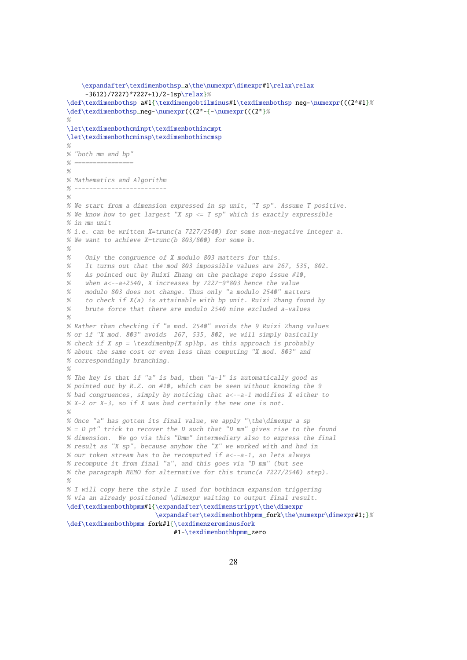```
\expandafter\texdimenbothsp_a\the\numexpr\dimexpr#1\relax\relax
     -3612)/7227)*7227+1)/2-1sp\relax}%
\def\texdimenbothsp_a#1{\texdimengobtilminus#1\texdimenbothsp_neg-\numexpr(((2*#1}%
\def\texdimenbothsp_neg-\numexpr(((2*-{-\numexpr(((2*}%
\alpha\let\texdimenbothcminpt\texdimenbothincmpt
\let\texdimenbothcminsp\texdimenbothincmsp
%
% "both mm and bp"
% ================
%
% Mathematics and Algorithm
% -------------------------
\alpha% We start from a dimension expressed in sp unit, "T sp". Assume T positive.
% We know how to get largest "X sp \leq T sp" which is exactly expressible
% in mm unit
% i.e. can be written X=trunc(a 7227/2540) for some non-negative integer a.
% We want to achieve X=trunc(b 803/800) for some b.
%
% Only the congruence of X modulo 803 matters for this.
% It turns out that the mod 803 impossible values are 267, 535, 802.
% As pointed out by Ruixi Zhang on the package repo issue #10,
% when a<--a+2540, X increases by 7227=9*803 hence the value
% modulo 803 does not change. Thus only "a modulo 2540" matters
% to check if X(a) is attainable with bp unit. Ruixi Zhang found by
% brute force that there are modulo 2540 nine excluded a-values
\alpha% Rather than checking if "a mod. 2540" avoids the 9 Ruixi Zhang values
% or if "X mod. 803" avoids 267, 535, 802, we will simply basically
% check if X sp = \texdimenbp{X sp}bp, as this approach is probably
% about the same cost or even less than computing "X mod. 803" and
% correspondingly branching.
%
% The key is that if "a" is bad, then "a-1" is automatically good as
% pointed out by R.Z. on #10, which can be seen without knowing the 9
% bad congruences, simply by noticing that a<--a-1 modifies X either to
% X-2 or X-3, so if X was bad certainly the new one is not.
\frac{0}{2}% Once "a" has gotten its final value, we apply "\the\dimexpr a sp
% = D pt" trick to recover the D such that "D mm" gives rise to the found
% dimension. We go via this "Dmm" intermediary also to express the final
% result as "X sp", because anyhow the "X" we worked with and had in
% our token stream has to be recomputed if a<--a-1, so lets always
% recompute it from final "a", and this goes via "D mm" (but see
% the paragraph MEMO for alternative for this trunc(a 7227/2540) step).
%
% I will copy here the style I used for bothincm expansion triggering
% via an already positioned \dimexpr waiting to output final result.
\def\texdimenbothbpmm#1{\expandafter\texdimenstrippt\the\dimexpr
                        \expandafter\texdimenbothbpmm_fork\the\numexpr\dimexpr#1;}%
\def\texdimenbothbpmm_fork#1{\texdimenzerominusfork
                             #1-\texdimenbothbpmm_zero
```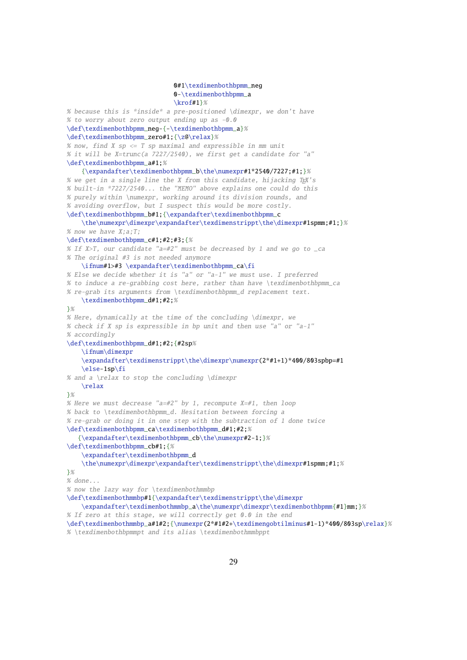```
0#1\texdimenbothbpmm_neg
                             0-\texdimenbothbpmm_a
                             \krof#1}%
% because this is *inside* a pre-positioned \dimexpr, we don't have
% to worry about zero output ending up as -0.0
\def\texdimenbothbpmm_neg-{-\texdimenbothbpmm_a}%
\def\texdimenbothbpmm_zero#1;{\z@\relax}%
% now, find X sp \leq T sp maximal and expressible in mm unit
% it will be X=trunc(a 7227/2540), we first get a candidate for "a"
\def\texdimenbothbpmm_a#1;%
    {\expandafter\texdimenbothbpmm_b\the\numexpr#1*2540/7227;#1;}%
% we get in a single line the X from this candidate, hijacking T<sub>F</sub>X's
% built-in *7227/2540... the "MEMO" above explains one could do this
% purely within \numexpr, working around its division rounds, and
% avoiding overflow, but I suspect this would be more costly.
\def\texdimenbothbpmm_b#1;{\expandafter\texdimenbothbpmm_c
    \the\numexpr\dimexpr\expandafter\texdimenstrippt\the\dimexpr#1spmm;#1;}%
% now we have X; a; T;
\def\texdimenbothbpmm_c#1;#2;#3;{%
% If X>T, our candidate "a=#2" must be decreased by 1 and we go to \Boxca
% The original #3 is not needed anymore
    \ifnum#1>#3 \expandafter\texdimenbothbpmm_ca\fi
% Else we decide whether it is "a" or "a-1" we must use. I preferred
% to induce a re-grabbing cost here, rather than have \texdimenbothbpmm_ca
% re-grab its arguments from \texdimenbothbpmm_d replacement text.
    \texdimenbothbpmm_d#1;#2;%
}%
% Here, dynamically at the time of the concluding \dimexpr, we
% check if X sp is expressible in bp unit and then use "a" or "a-1"
% accordingly
\def\texdimenbothbpmm_d#1;#2;{#2sp%
    \ifnum\dimexpr
    \expandafter\texdimenstrippt\the\dimexpr\numexpr(2*#1+1)*400/803spbp=#1
    \else-1sp\fi
% and a \relax to stop the concluding \dimexpr
    \relax
}%
% Here we must decrease "a=#2" by 1, recompute X=#1, then loop
% back to \texdimenbothbpmm_d. Hesitation between forcing a
% re-grab or doing it in one step with the subtraction of 1 done twice
\def\texdimenbothbpmm_ca\texdimenbothbpmm_d#1;#2;%
   {\expandafter\texdimenbothbpmm_cb\the\numexpr#2-1;}%
\def\texdimenbothbpmm_cb#1;{%
    \expandafter\texdimenbothbpmm_d
    \the\numexpr\dimexpr\expandafter\texdimenstrippt\the\dimexpr#1spmm;#1;%
}%
% done...
% now the lazy way for \texdimenbothmmbp
\def\texdimenbothmmbp#1{\expandafter\texdimenstrippt\the\dimexpr
    \expandafter\texdimenbothmmbp_a\the\numexpr\dimexpr\texdimenbothbpmm{#1}mm;}%
% If zero at this stage, we will correctly get 0.0 in the end
\def\texdimenbothmmbp_a#1#2;{\numexpr(2*#1#2+\texdimengobtilminus#1-1)*400/803sp\relax}%
```

```
% \texdimenbothbpmmpt and its alias \texdimenbothmmbppt
```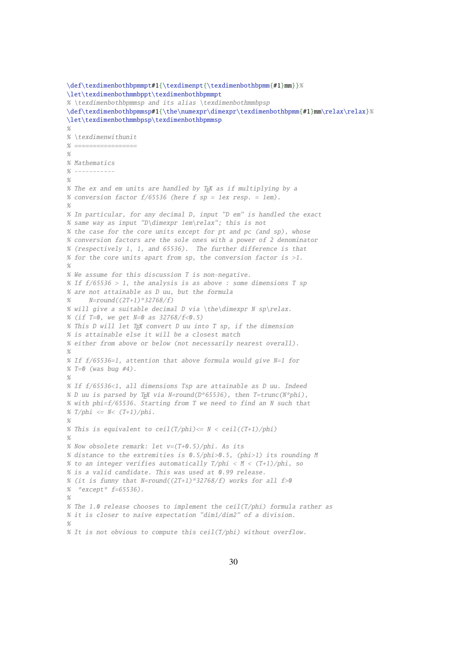```
\def\texdimenbothbpmmpt#1{\texdimenpt{\texdimenbothbpmm{#1}mm}}%
\let\texdimenbothmmbppt\texdimenbothbpmmpt
% \texdimenbothbpmmsp and its alias \texdimenbothmmbpsp
\def\texdimenbothbpmmsp#1{\the\numexpr\dimexpr\texdimenbothbpmm{#1}mm\relax\relax}%
\let\texdimenbothmmbpsp\texdimenbothbpmmsp
%
% \text{element}% =================
%
% Mathematics
% - -%
% The ex and em units are handled by TRX as if multiplying by a
% conversion factor f/65536 (here f sp = 1ex resp. = 1em).
%
% In particular, for any decimal D, input "D em" is handled the exact
% same way as input "D\dimexpr 1em\relax"; this is not
% the case for the core units except for pt and pc (and sp), whose
% conversion factors are the sole ones with a power of 2 denominator
% (respectively 1, 1, and 65536). The further difference is that
% for the core units apart from sp, the conversion factor is >1.
%
% We assume for this discussion T is non-negative.
% If f/65536 > 1, the analysis is as above : some dimensions T sp
% are not attainable as D uu, but the formula
% N=round((2T+1)*32768/f)
% will give a suitable decimal D via \the\dimexpr N sp\relax.
% (if T=0, we get N=0 as 32768/f < 0.5)
% This D will let TEX convert D uu into T sp, if the dimension
% is attainable else it will be a closest match
% either from above or below (not necessarily nearest overall).
%
% If f/65536=1, attention that above formula would give N=1 for
% T=0 (was bug #4).
O/% If f/65536<1, all dimensions Tsp are attainable as D uu. Indeed
% D uu is parsed by TEX via N=round(D*65536), then T=trunc(N*phi),
% with phi=f/65536. Starting from T we need to find an N such that
% T/\text{phi} \leq N < (T+1)/\text{phi}.%
% This is equivalent to ceil(T/phi) \leq N < ceil((T+1)/phi)
%
% Now obsolete remark: let v=(T+0.5)/phi. As its
% distance to the extremities is 0.5/phi>0.5, (phi>1) its rounding M
% to an integer verifies automatically T/\text{phi} < M < (T+1)/\text{phi}, so
% is a valid candidate. This was used at 0.99 release.
% (it is funny that N=round((2T+1)*32768/f) works for all f>0
% *except* f=65536).
%
% The 1.0 release chooses to implement the ceil(T/phi) formula rather as
% it is closer to naive expectation "dim1/dim2" of a division.
%
% It is not obvious to compute this ceil(T/phi) without overflow.
```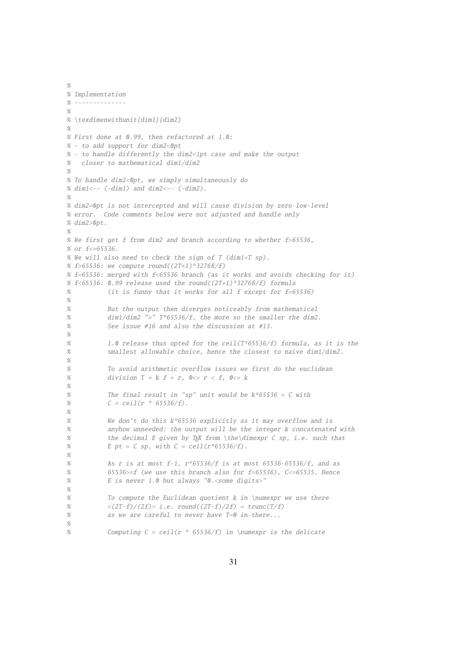```
%
% Implementation
\% --------------
%
% \texdimenwithunit{dim1}{dim2}
%
% First done at 0.99, then refactored at 1.0:
% - to add support for dim2<0pt
% - to handle differently the dim2<1pt case and make the output
% closer to mathematical dim1/dim2
%
% To handle dim2<0pt, we simply simultaneously do
% dim1 < - (-dim1) and dim2 < - (-dim2).
%
% dim2=0pt is not intercepted and will cause division by zero low-level
% error. Code comments below were not adjusted and handle only
% dim2>0nt
%
% We first get f from dim2 and branch according to whether f>65536,
% or f<=65536.
% We will also need to check the sign of T (dim1=T sp).
% f>65536: we compute round((2T+1)*32768/f)
% f=65536: merged with f<65536 branch (as it works and avoids checking for it)
% f<65536: 0.99 release used the round((2T+1)*32768/f) formula
% (it is funny that it works for all f except for f=65536)
%
% But the output then diverges noticeably from mathematical
% dim1/dim2 "=" T*65536/f, the more so the smaller the dim2.
% See issue #16 and also the discussion at #13.
%
% 1.0 release thus opted for the ceil(T*65536/f) formula, as it is the
% smallest allowable choice, hence the closest to naive dim1/dim2.
%
% To avoid arithmetic overflow issues we first do the euclidean
% division T = k f + r, 0 \le r \le f, 0 \le k%
% The final result in "sp" unit would be k*65536 + C with
% C = \text{ceil}(r * 65536/f).
%
% We don't do this k*65536 explicitly as it may overflow and is
% anyhow unneeded: the output will be the integer k concatenated with
% the decimal E given by T<sub>F</sub>X from \the\dimexpr C sp, i.e. such that
% E pt = C sp, with C = \text{ceil}(r * 65536/f).
%
% As r is at most f-1, r*65536/f is at most 65536-65536/f, and as
% 65536>=f (we use this branch also for f=65536), C<=65535. Hence
% E is never 1.0 but always "0.<some digits>"
%
% To compute the Euclidean quotient k in \numexpr we use there
% \langle (2T-f)/(2f) > i.e. round((2T-f)/2f) = trunc(T/f)% as we are careful to never have T=0 in-there...
%
% Computing C = ceil(r * 65536/f) in \numexpr is the delicate
```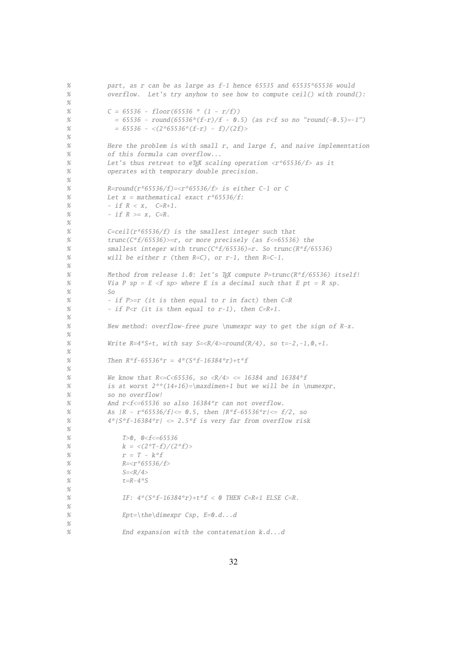```
% part, as r can be as large as f-1 hence 65535 and 65535*65536 would
% overflow. Let's try anyhow to see how to compute ceil() with round():
%
% C = 65536 - floor(65536 * (1 - r/f))% = 65536 - round(65536*(f-r)/f - 0.5) (as r < f so no "round(-0.5)=-1")
% = 65536 - \langle (2*65536* (f-r) - f)/(2f) \rangle%
% Here the problem is with small r, and large f, and naive implementation
% of this formula can overflow...
% Let's thus retreat to eTEX scaling operation <r*65536/f> as it
% operates with temporary double precision.
%
% R=round(r*65536/f)=\langle r*65536/f \rangle is either C-1 or C
% Let x = mathematical exact r*65536/f:
% - if R < x, C=R+1.
% - if R >= x, C=R.
%
% C=ceil(r*65536/f) is the smallest integer such that
% trunc(C*f/65536)>=r, or more precisely (as f<=65536) the
% smallest integer with trunc(C*f/65536)=r. So trunc(R*f/65536)
% will be either r (then R=C-1, or r-1, then R=C-1.
%
% Method from release 1.0: let's TEX compute P=trunc(R*f/65536) itself!
% Via P sp = E <f sp> where E is a decimal such that E pt = R sp.
% So
% - if P>=r (it is then equal to r in fact) then C=R
% - if P \le r (it is then equal to r-1), then C=R+1.
%
% New method: overflow-free pure \numexpr way to get the sign of R-x.
%
% Write R=4*S+t, with say S=\langle R/4\rangle = round(R/4), so t=-2,-1,0,+1.
%
% Then R^*f - 65536^*r = 4^*(S^*f - 16384^*r) + t^*f%
% We know that R < = C < 65536, so (R/4> = 16384 and 16384*f% is at worst 2**(14+16)=\max\{2\cdot 10\} but we will be in \numexpr,
% so no overflow!
% And r<f<=65536 so also 16384*r can not overflow.
% As |R - r*65536/f| \le 0.5, then |R*f-65536*r| \le f/2, so
% 4*|S*f-16384*r| \le 2.5*f is very far from overflow risk
%
% T>0, 0 < f < = 65536% k = \langle (2^*T-f)/(2^*f) \rangle% r = T - k * f% R = <r * 65536/f>% S=<R/4>% t=R-4*S%
% IF: 4*(S*f-16384*r)+t*f < 0 THEN C=R+1 ELSE C=R.
%
% Ept=\theta\cdot dimexpr Csp, E=0.d...d%
% End expansion with the contatenation k.d...d
```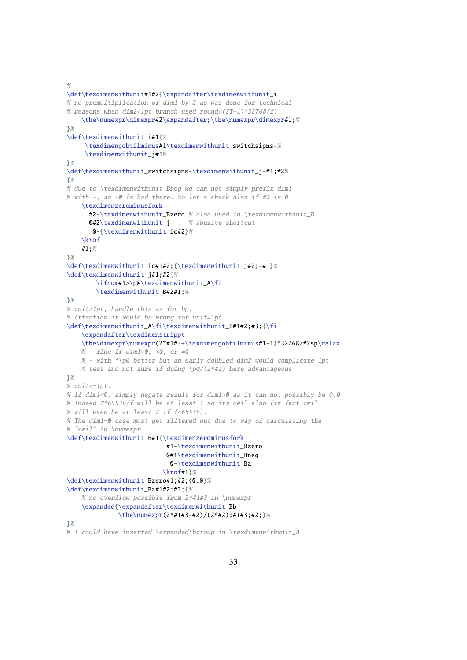$\mathcal{O}_{\mathbb{Z}}$ 

```
\def\texdimenwithunit#1#2{\expandafter\texdimenwithunit_i
% no premultiplication of dim1 by 2 as was done for technical
% reasons when dim2<1pt branch used round((2T+1)*32768/f)
    \the\numexpr\dimexpr#2\expandafter;\the\numexpr\dimexpr#1;%
}%
\def\texdimenwithunit_i#1{%
     \texdimengobtilminus#1\texdimenwithunit_switchsigns-%
     \texdimenwithunit_j#1%
}%
\def\texdimenwithunit_switchsigns-\texdimenwithunit_j-#1;#2%
{%
% due to \texdimenwithunit_Bneg we can not simply prefix dim1
% with -, as -0 is bad there. So let's check also if #2 is 0
    \texdimenzerominusfork
      #2-\texdimenwithunit_Bzero % also used in \texdimenwithunit_B
      0#2\text{ test} dimenwithunit i % abusive shortcut
       0-{\texdimenwithunit_ic#2}%
    \krof
    #1;%
}%
\def\texdimenwithunit_ic#1#2;{\texdimenwithunit_j#2;-#1}%
\def\texdimenwithunit_j#1;#2{%
        \ifnum#1>\p@\texdimenwithunit_A\fi
        \texdimenwithunit_B#2#1;%
}%
% unit>1pt, handle this as for bp.
% Attention it would be wrong for unit=1pt!
\def\texdimenwithunit_A\fi\texdimenwithunit_B#1#2;#3;{\fi
    \expandafter\texdimenstrippt
    \the\dimexpr\numexpr(2*#1#3+\texdimengobtilminus#1-1)*32768/#2sp\relax
    % - fine if dim1>0, <0, or =0
    % - with *\p@ better but an early doubled dim2 would complicate 1pt
    % test and not sure if doing \pmb{\ge} (2*#2) here advantageous
}%
% unit \leq 1pt.
% if dim1<0, simply negate result for dim1>0 as it can not possibly be 0.0
% Indeed T*65536/f will be at least 1 so its ceil also (in fact ceil
% will even be at least 2 if f<65536).
% The dim1=0 case must get filtered out due to way of calculating the
% "ceil" in \numexpr
\def\texdimenwithunit_B#1{\texdimenzerominusfork
                           #1-\texdimenwithunit_Bzero
                           0#1\texdimenwithunit_Bneg
                            0-\texdimenwithunit_Ba
                          \krof#1}%
\def\texdimenwithunit_Bzero#1;#2;{0.0}%
\def\texdimenwithunit_Ba#1#2;#3;{%
    % no overflow possible from 2*#1#3 in \numexpr
    \expanded{\expandafter\texdimenwithunit_Bb
              \the\numexpr(2*#1#3-#2)/(2*#2);#1#3;#2;}%
}%
% I could have inserted \expanded\bgroup in \texdimenwithunit_B
```